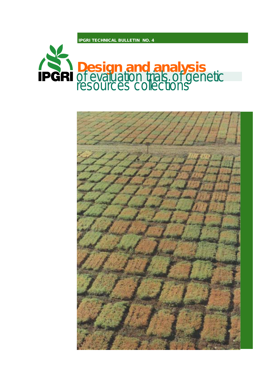**IPGRI TECHNICAL BULLETIN NO. 4**



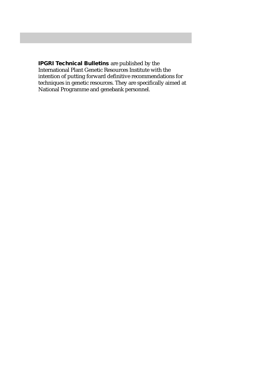**IPGRI Technical Bulletins** are published by the International Plant Genetic Resources Institute with the intention of putting forward definitive recommendations for techniques in genetic resources. They are specifically aimed at National Programme and genebank personnel.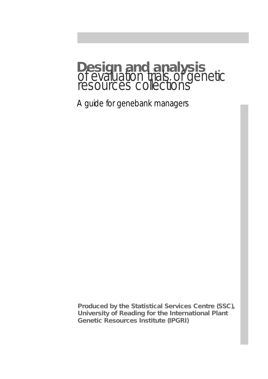# **Design and analysis** of evaluation trials of genetic resources collections

A guide for genebank managers

**Produced by the Statistical Services Centre (SSC), University of Reading for the International Plant Genetic Resources Institute (IPGRI)**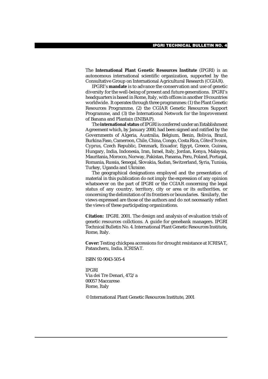The **International Plant Genetic Resources Institute** (IPGRI) is an autonomous international scientific organization, supported by the Consultative Group on International Agricultural Research (CGIAR).

IPGRI's **mandate** is to advance the conservation and use of genetic diversity for the well-being of present and future generations. IPGRI's headquarters is based in Rome, Italy, with offices in another 19 countries worldwide. It operates through three programmes: (1) the Plant Genetic Resources Programme, (2) the CGIAR Genetic Resources Support Programme, and (3) the International Network for the Improvement of Banana and Plantain (INIBAP).

The **international status** of IPGRI is conferred under an Establishment Agreement which, by January 2000, had been signed and ratified by the Governments of Algeria, Australia, Belgium, Benin, Bolivia, Brazil, Burkina Faso, Cameroon, Chile, China, Congo, Costa Rica, Côte d'Ivoire, Cyprus, Czech Republic, Denmark, Ecuador, Egypt, Greece, Guinea, Hungary, India, Indonesia, Iran, Israel, Italy, Jordan, Kenya, Malaysia, Mauritania, Morocco, Norway, Pakistan, Panama, Peru, Poland, Portugal, Romania, Russia, Senegal, Slovakia, Sudan, Switzerland, Syria, Tunisia, Turkey, Uganda and Ukraine.

The geographical designations employed and the presentation of material in this publication do not imply the expression of any opinion whatsoever on the part of IPGRI or the CGIAR concerning the legal status of any country, territory, city or area or its authorities, or concerning the delimitation of its frontiers or boundaries. Similarly, the views expressed are those of the authors and do not necessarily reflect the views of these participating organizations.

**Citation:** IPGRI. 2001. The design and analysis of evaluation trials of genetic resources collctions. A guide for genebank managers. IPGRI Technical Bulletin No. 4. International Plant Genetic Resources Institute, Rome, Italy.

**Cover:** Testing chickpea accessions for drought resistance at ICRISAT, Patancheru, India. ICRISAT.

ISBN 92-9043-505-4

IPGRI Via dei Tre Denari, 472/a 00057 Maccarese Rome, Italy

© International Plant Genetic Resources Institute, 2001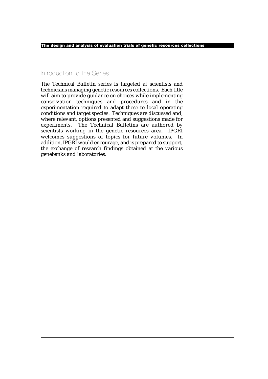## Introduction to the Series

The Technical Bulletin series is targeted at scientists and technicians managing genetic resources collections. Each title will aim to provide guidance on choices while implementing conservation techniques and procedures and in the experimentation required to adapt these to local operating conditions and target species. Techniques are discussed and, where relevant, options presented and suggestions made for experiments. The Technical Bulletins are authored by scientists working in the genetic resources area. IPGRI welcomes suggestions of topics for future volumes. In addition, IPGRI would encourage, and is prepared to support, the exchange of research findings obtained at the various genebanks and laboratories.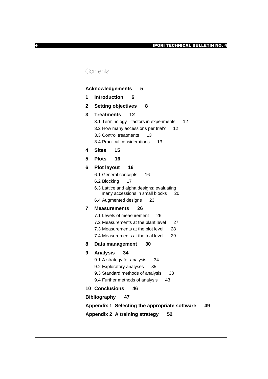## **Contents**

|        | <b>Acknowledgements</b><br>5                                                                                                                                                                                                                                                                                   |
|--------|----------------------------------------------------------------------------------------------------------------------------------------------------------------------------------------------------------------------------------------------------------------------------------------------------------------|
| 1      | <b>Introduction</b><br>6                                                                                                                                                                                                                                                                                       |
| 2      | <b>Setting objectives</b><br>8                                                                                                                                                                                                                                                                                 |
| 3      | Treatments<br>12<br>3.1 Terminology-factors in experiments<br>12<br>3.2 How many accessions per trial?<br>12<br>3.3 Control treatments<br>13<br>3.4 Practical considerations<br>13                                                                                                                             |
| 4      | <b>Sites</b><br>15                                                                                                                                                                                                                                                                                             |
| 5      | <b>Plots</b><br>16                                                                                                                                                                                                                                                                                             |
| 6<br>7 | <b>Plot layout</b><br>16<br>6.1 General concepts<br>16<br>6.2 Blocking<br>17<br>6.3 Lattice and alpha designs: evaluating<br>many accessions in small blocks<br>20<br>6.4 Augmented designs<br>23<br><b>Measurements</b><br>26<br>7.1 Levels of measurement<br>26<br>7.2 Measurements at the plant level<br>27 |
|        | 7.3 Measurements at the plot level<br>28                                                                                                                                                                                                                                                                       |
|        | 7.4 Measurements at the trial level<br>29                                                                                                                                                                                                                                                                      |
| 8      | 30<br>Data management                                                                                                                                                                                                                                                                                          |
| 9      | <b>Analysis</b><br>34<br>9.1 A strategy for analysis<br>34<br>9.2 Exploratory analyses<br>35<br>9.3 Standard methods of analysis<br>38<br>9.4 Further methods of analysis<br>43                                                                                                                                |
|        | <b>10 Conclusions</b><br>46                                                                                                                                                                                                                                                                                    |
|        | <b>Bibliography</b><br>47                                                                                                                                                                                                                                                                                      |
|        | Appendix 1 Selecting the appropriate software<br>49                                                                                                                                                                                                                                                            |
|        | Appendix 2 A training strategy<br>52                                                                                                                                                                                                                                                                           |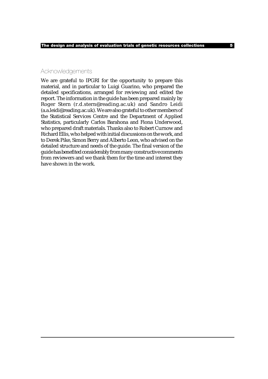## Acknowledgements

We are grateful to IPGRI for the opportunity to prepare this material, and in particular to Luigi Guarino, who prepared the detailed specifications, arranged for reviewing and edited the report. The information in the guide has been prepared mainly by Roger Stern (r.d.stern@reading.ac.uk) and Sandro Leidi (a.a.leidi@reading.ac.uk). We are also grateful to other members of the Statistical Services Centre and the Department of Applied Statistics, particularly Carlos Barahona and Fiona Underwood, who prepared draft materials. Thanks also to Robert Curnow and Richard Ellis, who helped with initial discussions on the work, and to Derek Pike, Simon Berry and Alberto Leon, who advised on the detailed structure and needs of the guide. The final version of the guide has benefited considerably from many constructive comments from reviewers and we thank them for the time and interest they have shown in the work.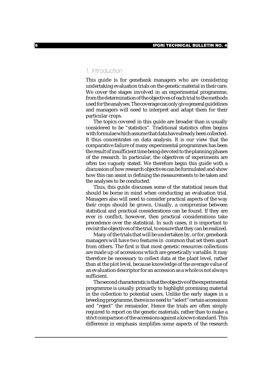## 1 Introduction

This guide is for genebank managers who are considering undertaking evaluation trials on the genetic material in their care. We cover the stages involved in an experimental programme, from the determination of the objectives of each trial to the methods used for the analyses. The coverage can only give general guidelines and managers will need to interpret and adapt them for their particular crops.

The topics covered in this guide are broader than is usually considered to be "statistics". Traditional statistics often begins with formulae which assume that data have already been collected. It thus concentrates on data analysis. It is our view that the comparative failure of many experimental programmes has been the result of insufficient time being devoted to the planning phases of the research. In particular, the objectives of experiments are often too vaguely stated. We therefore begin this guide with a discussion of how research objectives can be formulated and show how this can assist in defining the measurements to be taken and the analyses to be conducted.

Thus, this guide discusses some of the statistical issues that should be borne in mind when conducting an evaluation trial. Managers also will need to consider practical aspects of the way their crops should be grown. Usually, a compromise between statistical and practical considerations can be found. If they are ever in conflict, however, then practical considerations take precedence over the statistical. In such cases, it is important to revisit the objectives of the trial, to ensure that they can be realized.

Many of the trials that will be undertaken by, or for, genebank managers will have two features in common that set them apart from others. The first is that most genetic resources collections are made up of accessions which are genetically variable. It may therefore be necessary to collect data at the plant level, rather than at the plot level, because knowledge of the average value of an evaluation descriptor for an accession as a whole is not always sufficient.

The second characteristic is that the objective of the experimental programme is usually primarily to highlight promising material in the collection to potential users. Unlike the early stages in a breeding programme, there is no need to "select" certain accessions and "reject" the remainder. Hence the trials are often simply required to report on the genetic materials, rather than to make a strict comparison of the accessions against a known standard. This difference in emphasis simplifies some aspects of the research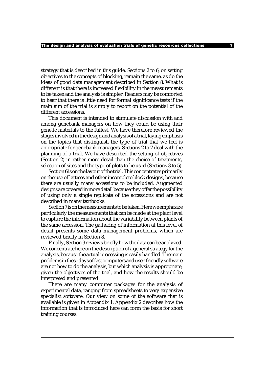strategy that is described in this guide. Sections 2 to 6, on setting objectives to the concepts of blocking, remain the same, as do the ideas of good data management described in Section 8. What is different is that there is increased flexibility in the measurements to be taken and the analysis is simpler. Readers may be comforted to hear that there is little need for formal significance tests if the main aim of the trial is simply to report on the potential of the different accessions.

This document is intended to stimulate discussion with and among genebank managers on how they could be using their genetic materials to the fullest. We have therefore reviewed the stages involved in the design and analysis of a trial, laying emphasis on the topics that distinguish the type of trial that we feel is appropriate for genebank managers. Sections 2 to 7 deal with the planning of a trial. We have described the setting of objectives (Section 2) in rather more detail than the choice of treatments, selection of sites and the type of plots to be used (Sections 3 to 5).

Section 6 is on the layout of the trial. This concentrates primarily on the use of lattices and other incomplete block designs, because there are usually many accessions to be included. Augmented designs are covered in more detail because they offer the possibility of using only a single replicate of the accessions and are not described in many textbooks.

Section 7 is on the measurements to be taken. Here we emphasize particularly the measurements that can be made at the plant level to capture the information about the variability between plants of the same accession. The gathering of information at this level of detail presents some data management problems, which are reviewed briefly in Section 8.

Finally, Section 9 reviews briefly how the data can be analyzed. We concentrate here on the description of a general strategy for the analysis, because the actual processing is easily handled. The main problems in these days of fast computers and user-friendly software are not how to do the analysis, but which analysis is appropriate, given the objectives of the trial, and how the results should be interpreted and presented.

There are many computer packages for the analysis of experimental data, ranging from spreadsheets to very expensive specialist software. Our view on some of the software that is available is given in Appendix 1. Appendix 2 describes how the information that is introduced here can form the basis for short training courses.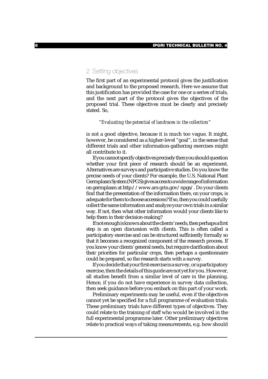## 2 Setting objectives

The first part of an experimental protocol gives the justification and background to the proposed research. Here we assume that this justification has provided the case for one or a series of trials, and the next part of the protocol gives the objectives of the proposed trial. These objectives must be clearly and precisely stated. So,

## "*Evaluating the potential of landraces in the collection*"

is not a good objective, because it is much too vague. It might, however, be considered as a higher-level "goal", in the sense that different trials and other information-gathering exercises might all contribute to it.

If you cannot specify objectives precisely then you should question whether your first piece of research should be an experiment. Alternatives are surveys and participative studies. Do you know the precise needs of your clients? For example, the U.S. National Plant Germplasm System (NPGS) gives access to a wide range of information on germplasm at http://www.ars-grin.gov/npgs/. Do your clients find that the presentation of the information there, on your crops, is adequate for them to choose accessions? If so, then you could usefully collect the same information and analyze your own trials in a similar way. If not, then what other information would your clients like to help them in their decision-making?

If not enough is known about the clients' needs, then perhaps a first step is an open discussion with clients. This is often called a participatory exercise and can be structured sufficiently formally so that it becomes a recognized component of the research process. If you know your clients' general needs, but require clarification about their priorities for particular crops, then perhaps a questionnaire could be prepared, so the research starts with a survey.

If you decide that your first exercise is a survey, or a participatory exercise, then the details of this guide are not yet for you. However, all studies benefit from a similar level of care in the planning. Hence, if you do not have experience in survey data collection, then seek guidance before you embark on this part of your work.

Preliminary experiments may be useful, even if the objectives cannot yet be specified for a full programme of evaluation trials. These preliminary trials have different types of objectives. They could relate to the training of staff who would be involved in the full experimental programme later. Other preliminary objectives relate to practical ways of taking measurements, e.g. how should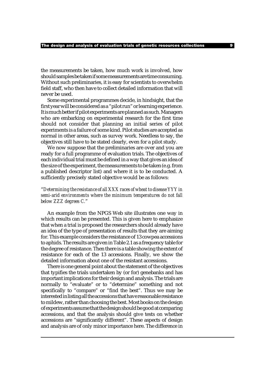the measurements be taken, how much work is involved, how should samples be taken if some measurements are time consuming. Without such preliminaries, it is easy for scientists to overwhelm field staff, who then have to collect detailed information that will never be used.

Some experimental programmes decide, in hindsight, that the first year will be considered as a "pilot run" or learning experience. It is much better if pilot experiments are planned as such. Managers who are embarking on experimental research for the first time should not consider that planning an initial series of pilot experiments is a failure of some kind. Pilot studies are accepted as normal in other areas, such as survey work. Needless to say, the objectives still have to be stated clearly, even for a pilot study.

We now suppose that the preliminaries are over and you are ready for a full programme of evaluation trials. The objectives of each individual trial must be defined in a way that gives an idea of the size of the experiment, the measurements to be taken (e.g. from a published descriptor list) and where it is to be conducted. A sufficiently precisely stated objective would be as follows:

## "*Determining the resistance of all XXX races of wheat to disease YYY in semi-arid environments where the minimum temperatures do not fall below ZZZ degrees C.*"

An example from the NPGS Web site illustrates one way in which results can be presented. This is given here to emphasize that when a trial is proposed the researchers should already have an idea of the type of presentation of results that they are aiming for. This example considers the resistance of 13 cowpea accessions to aphids. The results are given in Table 2.1 as a frequency table for the degree of resistance. Then there is a table showing the extent of resistance for each of the 13 accessions. Finally, we show the detailed information about one of the resistant accessions.

There is one general point about the statement of the objectives that typifies the trials undertaken by (or for) genebanks and has important implications for their design and analysis. The trials are normally to "evaluate" or to "determine" something and not specifically to "compare" or "find the best". Thus we may be interested in listing all the accessions that have reasonable resistance to mildew, rather than choosing the best. Most books on the design of experiments assume that the design should be good at comparing accessions, and that the analysis should give tests on whether accessions are "significantly different". These aspects of design and analysis are of only minor importance here. The difference in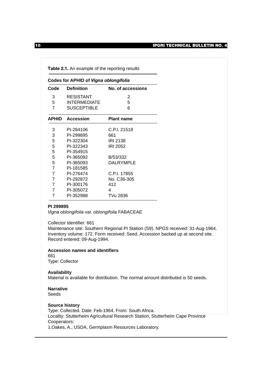|                | Table 2.1. An example of the reporting results |                   |  |  |  |  |  |  |
|----------------|------------------------------------------------|-------------------|--|--|--|--|--|--|
|                | <b>Codes for APHID of Vigna oblongifolia</b>   |                   |  |  |  |  |  |  |
| Code           | <b>Definition</b>                              | No. of accessions |  |  |  |  |  |  |
| 3              | <b>RESISTANT</b>                               | 2                 |  |  |  |  |  |  |
| 5              | <b>INTERMEDIATE</b>                            | 5                 |  |  |  |  |  |  |
| $\overline{7}$ | <b>SUSCEPTIBLE</b>                             | 6                 |  |  |  |  |  |  |
| APHID          | <b>Accession</b>                               | <b>Plant name</b> |  |  |  |  |  |  |
| 3              | PI-284106                                      | C.P.I. 21518      |  |  |  |  |  |  |
| 3              | PI-299895                                      | 661               |  |  |  |  |  |  |
| 5              | PI-322304                                      | <b>IRI 2138</b>   |  |  |  |  |  |  |
| 5              | PI-322343                                      | <b>IRI 2052</b>   |  |  |  |  |  |  |
| 5              | PI-354915                                      |                   |  |  |  |  |  |  |
| 5              | PI-365092                                      | B/53/332          |  |  |  |  |  |  |
| 5              | PI-365093                                      | <b>DALRYMPLE</b>  |  |  |  |  |  |  |
| $\overline{7}$ | PI-181585                                      |                   |  |  |  |  |  |  |
| $\overline{7}$ | PI-276474                                      | C.P.I. 17855      |  |  |  |  |  |  |
| $\overline{7}$ | PI-292872                                      | No. C36-305       |  |  |  |  |  |  |
| $\overline{7}$ | PI-300176                                      | 412               |  |  |  |  |  |  |
| $\overline{7}$ | PI-305072                                      | 4                 |  |  |  |  |  |  |
| 7              | PI-352988                                      | TVu 2836          |  |  |  |  |  |  |

### **PI 299895**

*Vigna oblongifolia* var. *oblongifolia* FABACEAE

Collector identifier: 661

Maintenance site: Southern Regional PI Station (S9). NPGS received: 31-Aug-1964. Inventory volume: 172. Form received: Seed. Accession backed up at second site. Record entered: 09-Aug-1994.

**Accession names and identifiers** 661

Type: Collector

#### **Availability**

Material is available for distribution. The normal amount distributed is 50 seeds.

### **Narrative**

Seeds

#### **Source history**

Type: Collected. Date: Feb-1964. From: South Africa. Locality: Stutterheim Agricultural Research Station, Stutterheim Cape Province Cooperators: 1.Oakes, A., USDA, Germplasm Resources Laboratory.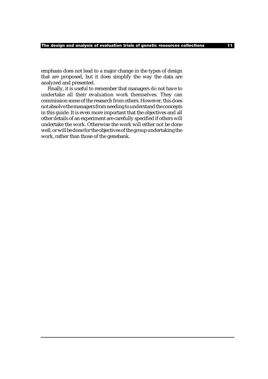emphasis does not lead to a major change in the types of design that are proposed, but it does simplify the way the data are analyzed and presented.

Finally, it is useful to remember that managers do not have to undertake all their evaluation work themselves. They can commission some of the research from others. However, this does not absolve the managers from needing to understand the concepts in this guide. It is even more important that the objectives and all other details of an experiment are carefully specified if others will undertake the work. Otherwise the work will either not be done well, or will be done for the objectives of the group undertaking the work, rather than those of the genebank.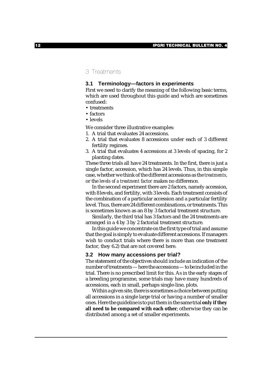## 3 Treatments

## **3.1 Terminology—factors in experiments**

First we need to clarify the meaning of the following basic terms, which are used throughout this guide and which are sometimes confused:

- treatments
- factors
- levels

We consider three illustrative examples:

- 1. A trial that evaluates 24 accessions.
- 2. A trial that evaluates 8 accessions under each of 3 different fertility regimes.
- 3. A trial that evaluates 4 accessions at 3 levels of spacing, for 2 planting dates.

These three trials all have 24 treatments. In the first, there is just a single factor, accession, which has 24 levels. Thus, in this simple case, whether we think of the different accessions as the *treatments*, or the *levels of a treatment factor* makes no difference.

In the second experiment there are 2 factors, namely accession, with 8 levels, and fertility, with 3 levels. Each treatment consists of the combination of a particular accession and a particular fertility level. Thus, there are 24 different combinations, or treatments. This is sometimes known as an 8 by 3 factorial treatment structure.

Similarly, the third trial has 3 factors and the 24 treatments are arranged in a 4 by 3 by 2 factorial treatment structure.

In this guide we concentrate on the first type of trial and assume that the goal is simply to evaluate different accessions. If managers wish to conduct trials where there is more than one treatment factor, they 6.2) that are not covered here.

#### **3.2 How many accessions per trial?**

The statement of the objectives should include an indication of the number of treatments — here the accessions — to be included in the trial. There is no prescribed limit for this. As in the early stages of a breeding programme, some trials may have many hundreds of accessions, each in small, perhaps single-line, plots.

Within a given site, there is sometimes a choice between putting all accessions in a single large trial or having a number of smaller ones. Here the guideline is to put them in the same trial **only if they all need to be compared with each other**; otherwise they can be distributed among a set of smaller experiments.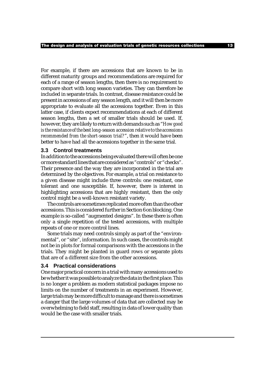For example, if there are accessions that are known to be in different maturity groups and recommendations are required for each of a range of season lengths, then there is no requirement to compare short with long season varieties. They can therefore be included in separate trials. In contrast, disease resistance could be present in accessions of any season length, and it will then be more appropriate to evaluate all the accessions together. Even in this latter case, if clients expect recommendations at each of different season lengths, then a set of smaller trials should be used. If, however, they are likely to return with demands such as "*How good is the resistance of the best long-season accession relative to the accessions recommended from the short-season trial?*", then it would have been better to have had all the accessions together in the same trial.

#### **3.3 Control treatments**

In addition to the accessions being evaluated there will often be one or more standard lines that are considered as "controls" or "checks". Their presence and the way they are incorporated in the trial are determined by the objectives. For example, a trial on resistance to a given disease might include three controls: one resistant, one tolerant and one susceptible. If, however, there is interest in highlighting accessions that are highly resistant, then the only control might be a well-known resistant variety.

The controls are sometimes replicated more often than the other accessions. This is considered further in Section 6 on blocking. One example is so-called "augmented designs". In these there is often only a single repetition of the tested accessions, with multiple repeats of one or more control lines.

Some trials may need controls simply as part of the "environmental", or "site", information. In such cases, the controls might not be in plots for formal comparisons with the accessions in the trials. They might be planted in guard rows or separate plots that are of a different size from the other accessions.

### **3.4 Practical considerations**

One major practical concern in a trial with many accessions used to be whether it was possible to analyze the data in the first place. This is no longer a problem as modern statistical packages impose no limits on the number of treatments in an experiment. However, large trials may be more difficult to manage and there is sometimes a danger that the large volumes of data that are collected may be overwhelming to field staff, resulting in data of lower quality than would be the case with smaller trials.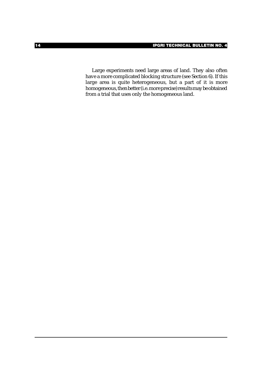Large experiments need large areas of land. They also often have a more complicated blocking structure (see Section 6). If this large area is quite heterogeneous, but a part of it is more homogeneous, then better (i.e. more precise) results may be obtained from a trial that uses only the homogeneous land.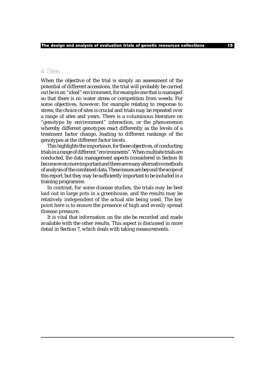## 4 Sites

When the objective of the trial is simply an assessment of the potential of different accessions, the trial will probably be carried out be in an "ideal" environment, for example one that is managed so that there is no water stress or competition from weeds. For some objectives, however, for example relating to response to stress, the choice of sites is crucial and trials may be repeated over a range of sites and years. There is a voluminous literature on "genotype by environment" interaction, or the phenomenon whereby different genotypes react differently as the levels of a treatment factor change, leading to different rankings of the genotypes at the different factor levels.

This highlights the importance, for these objectives, of conducting trials in a range of different "environments". When multisite trials are conducted, the data management aspects (considered in Section 8) become even more important and there are many alternative methods of analysis of the combined data. These issues are beyond the scope of this report, but they may be sufficiently important to be included in a training programme.

In contrast, for some disease studies, the trials may be best laid out in large pots in a greenhouse, and the results may be relatively independent of the actual site being used. The key point here is to ensure the presence of high and evenly spread disease pressure.

It is vital that information on the site be recorded and made available with the other results. This aspect is discussed in more detail in Section 7, which deals with taking measurements.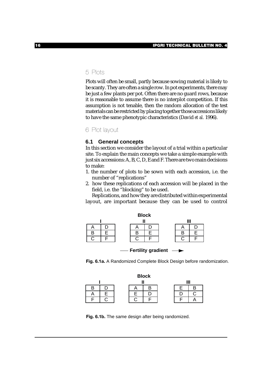## 5 Plots

Plots will often be small, partly because sowing material is likely to be scanty. They are often a single row. In pot experiments, there may be just a few plants per pot. Often there are no guard rows, because it is reasonable to assume there is no interplot competition. If this assumption is not tenable, then the random allocation of the test materials can be restricted by placing together those accessions likely to have the same phenotypic characteristics (David *et al.* 1996).

6 Plot layout

#### **6.1 General concepts**

In this section we consider the layout of a trial within a particular site. To explain the main concepts we take a simple example with just six accessions: A, B, C, D, E and F. There are two main decisions to make:

- 1. the number of plots to be sown with each accession, i.e. the number of "replications"
- 2. how these replications of each accession will be placed in the field, i.e. the "blocking" to be used.

Replications, and how they are distributed within experimental layout, are important because they can be used to control



**Fertility gradient** 





**Fig. 6.1b.** The same design after being randomized.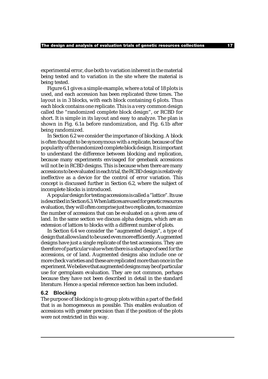experimental error, due both to variation inherent in the material being tested and to variation in the site where the material is being tested.

Figure 6.1 gives a simple example, where a total of 18 plots is used, and each accession has been replicated three times. The layout is in 3 blocks, with each block containing 6 plots. Thus each block contains one replicate. This is a very common design called the "randomized complete block design", or RCBD for short. It is simple in its layout and easy to analyze. The plan is shown in Fig. 6.1a before randomization, and Fig. 6.1b after being randomized.

In Section 6.2 we consider the importance of blocking. A block is often thought to be synonymous with a replicate, because of the popularity of the randomized complete block design. It is important to understand the difference between blocking and replication, because many experiments envisaged for genebank accessions will not be in RCBD designs. This is because when there are many accessions to be evaluated in each trial, the RCBD design is relatively ineffective as a device for the control of error variation. This concept is discussed further in Section 6.2, where the subject of incomplete blocks is introduced.

A popular design for testing accessions is called a "lattice". Its use is described in Section 6.3. When lattices are used for genetic resources evaluation, they will often comprise just two replicates, to maximize the number of accessions that can be evaluated on a given area of land. In the same section we discuss alpha designs, which are an extension of lattices to blocks with a different number of plots.

In Section 6.4 we consider the "augmented design", a type of design that allows land to be used even more efficiently. Augmented designs have just a single replicate of the test accessions. They are therefore of particular value when there is a shortage of seed for the accessions, or of land. Augmented designs also include one or more check varieties and these are replicated more than once in the experiment. We believe that augmented designs may be of particular use for germplasm evaluation. They are not common, perhaps because they have not been described in detail in the standard literature. Hence a special reference section has been included.

#### **6.2 Blocking**

The purpose of blocking is to group plots within a part of the field that is as homogeneous as possible. This enables evaluation of accessions with greater precision than if the position of the plots were not restricted in this way.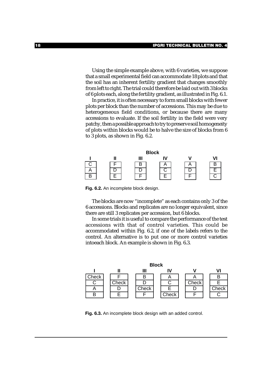Using the simple example above, with 6 varieties, we suppose that a small experimental field can accommodate 18 plots and that the soil has an inherent fertility gradient that changes smoothly from left to right. The trial could therefore be laid out with 3 blocks of 6 plots each, along the fertility gradient, as illustrated in Fig. 6.1.

In practice, it is often necessary to form small blocks with fewer plots per block than the number of accessions. This may be due to heterogeneous field conditions, or because there are many accessions to evaluate. If the soil fertility in the field were very patchy, then a possible approach to try to preserve soil homogeneity of plots within blocks would be to halve the size of blocks from 6 to 3 plots, as shown in Fig. 6.2.



**Fig. 6.2.** An incomplete block design.

The blocks are now "incomplete" as each contains only 3 of the 6 accessions. Blocks and replicates are no longer equivalent, since there are still 3 replicates per accession, but 6 blocks.

In some trials it is useful to compare the performance of the test accessions with that of control varieties. This could be accommodated within Fig. 6.2, if one of the labels refers to the control. An alternative is to put one or more control varieties intoeach block. An example is shown in Fig. 6.3.



**Fig. 6.3.** An incomplete block design with an added control.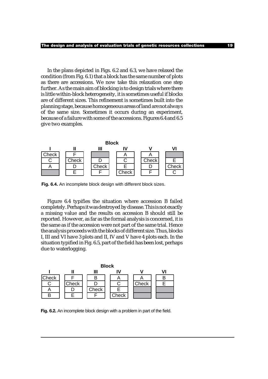In the plans depicted in Figs. 6.2 and 6.3, we have relaxed the condition (from Fig. 6.1) that a block has the same number of plots as there are accessions. We now take this relaxation one step further. As the main aim of blocking is to design trials where there is little within-block heterogeneity, it is sometimes useful if blocks are of different sizes. This refinement is sometimes built into the planning stage, because homogeneous areas of land are not always of the same size. Sometimes it occurs during an experiment, because of a failure with some of the accessions. Figures 6.4 and 6.5 give two examples.



**Fig. 6.4.** An incomplete block design with different block sizes.

Figure 6.4 typifies the situation where accession B failed completely. Perhaps it was destroyed by disease. This is not exactly a missing value and the results on accession B should still be reported. However, as far as the formal analysis is concerned, it is the same as if the accession were not part of the same trial. Hence the analysis proceeds with the blocks of different size. Thus, blocks I, III and VI have 3 plots and II, IV and V have 4 plots each. In the situation typified in Fig. 6.5, part of the field has been lost, perhaps due to waterlogging.



**Fig. 6.2.** An incomplete block design with a problem in part of the field.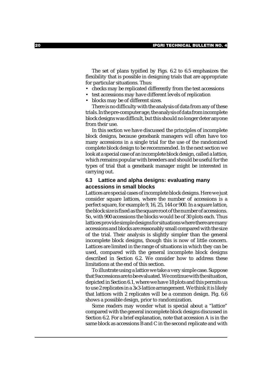The set of plans typified by Figs. 6.2 to 6.5 emphasizes the flexibility that is possible in designing trials that are appropriate for particular situations. Thus:

- checks may be replicated differently from the test accessions
- test accessions may have different levels of replication
- blocks may be of different sizes.

There is no difficulty with the analysis of data from any of these trials. In the pre-computer age, the analysis of data from incomplete block designs was difficult, but this should no longer deter anyone from their use.

In this section we have discussed the principles of incomplete block designs, because genebank managers will often have too many accessions in a single trial for the use of the randomized complete block design to be recommended. In the next section we look at a special case of an incomplete block design, called a lattice, which remains popular with breeders and should be useful for the types of trial that a genebank manager might be interested in carrying out.

## **6.3 Lattice and alpha designs: evaluating many accessions in small blocks**

Lattices are special cases of incomplete block designs. Here we just consider square lattices, where the number of accessions is a perfect square, for example 9, 16, 25, 144 or 900. In a square lattice, the block size is fixed as the square root of the number of accessions. So, with 900 accessions the blocks would be of 30 plots each. Thus lattices provide simple designs for situations where there are many accessions and blocks are reasonably small compared with the size of the trial. Their analysis is slightly simpler than the general incomplete block designs, though this is now of little concern. Lattices are limited in the range of situations in which they can be used, compared with the general incomplete block designs described in Section 6.2. We consider how to address these limitations at the end of this section.

To illustrate using a lattice we take a very simple case. Suppose that 9 accessions are to be evaluated. We continue with the situation, depicted in Section 6.1, where we have 18 plots and this permits us to use 2 replicates in a 3x3-lattice arrangement. We think it is likely that lattices with 2 replicates will be a common design. Fig. 6.6 shows a possible design, prior to randomization.

Some readers may wonder what is special about a "lattice" compared with the general incomplete block designs discussed in Section 6.2. For a brief explanation, note that accession A is in the same block as accessions B and C in the second replicate and with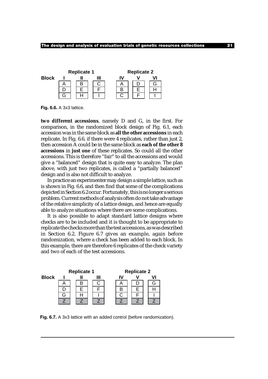

**Fig. 6.6.** A 3x3 lattice.

**two different accessions**, namely D and G, in the first. For comparison, in the randomized block design of Fig. 6.1, each accession was in the same block as **all the other accessions** in each replicate. In Fig. 6.6, if there were 4 replicates, rather than just 2, then accession A could be in the same block as **each of the other 8 accessions** in **just one** of these replicates. So could all the other accessions. This is therefore "fair" to all the accessions and would give a "balanced" design that is quite easy to analyze. The plan above, with just two replicates, is called a "partially balanced" design and is also not difficult to analyze.

In practice an experimenter may design a simple lattice, such as is shown in Fig. 6.6, and then find that some of the complications depicted in Section 6.2 occur. Fortunately, this is no longer a serious problem. Current methods of analysis often do not take advantage of the relative simplicity of a lattice design, and hence are equally able to analyze situations where there are some complications.

It is also possible to adapt standard lattice designs where checks are to be included and it is thought to be appropriate to replicate the checks more than the test accessions, as was described in Section 6.2. Figure 6.7 gives an example, again before randomization, where a check has been added to each block. In this example, there are therefore 6 replicates of the check variety and two of each of the test accessions.



**Fig. 6.7.** A 3x3 lattice with an added control (before randomization).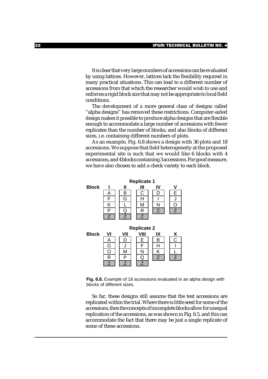It is clear that very large numbers of accessions can be evaluated by using lattices. However, lattices lack the flexibility required in many practical situations. This can lead to a different number of accessions from that which the researcher would wish to use and enforces a rigid block size that may not be appropriate to local field conditions.

The development of a more general class of designs called "alpha designs" has removed these restrictions. Computer-aided design makes it possible to produce alpha designs that are flexible enough to accommodate a large number of accessions with fewer replicates than the number of blocks, and also blocks of different sizes, i.e. containing different numbers of plots.

As an example, Fig. 6.8 shows a design with 36 plots and 18 accessions. We suppose that field heterogeneity at the proposed experimental site is such that we would like 6 blocks with 4 accessions, and 4 blocks containing 3 accessions. For good measure, we have also chosen to add a check variety to each block.



**Fig. 6.8.** Example of 18 accessions evaluated in an alpha design with blocks of different sizes.

So far, these designs still assume that the test accessions are replicated within the trial. Where there is little seed for some of the accessions, then the concepts of incomplete blocks allow for unequal replication of the accessions, as was shown in Fig. 6.5, and this can accommodate the fact that there may be just a single replicate of some of these accessions.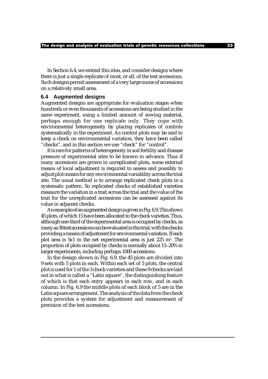In Section 6.4, we extend this idea, and consider designs where there is just a single replicate of most, or all, of the test accessions. Such designs permit assessment of a very large nume of accessions on a relatively small area.

#### **6.4 Augmented designs**

Augmented designs are appropriate for evaluation stages when hundreds or even thousands of accessions are being studied in the same experiment, using a limited amount of sowing material, perhaps enough for one replicate only. They cope with environmental heterogeneity by placing replicates of controls systematically in the experiment. As control plots may be said to keep a check on environmental variation, they have been called "checks", and in this section we use "check" for "control".

It is rare for patterns of heterogeneity in soil fertility and disease pressure of experimental sites to be known in advance. Thus if many accessions are grown in unreplicated plots, some external means of local adjustment is required to assess and possibly to adjust plot means for any environmental variability across the trial site. The usual method is to arrange replicated check plots in a systematic pattern. So replicated checks of established varieties measure the variation in a trait across the trial and the value of the trait for the unreplicated accessions can be assessed against its value in adjacent checks.

An example of an augmented design is given in Fig. 6.9. This shows 45 plots, of which 15 have been allocated to the check varieties. Thus, although one-third of the experimental area is occupied by checks, as many as 30 test accessions can be evaluated in this trial, with the checks providing a means of adjustment for environmental variation. If each plot area is  $5x1$  m the net experimental area is just  $225$  m<sup>2</sup>. The proportion of plots occupied by checks is normally about 15–20% in larger experiments, including perhaps 1000 accessions.

In the design shown in Fig. 6.9, the 45 plots are divided into 9 sets with 5 plots in each. Within each set of 5 plots, the central plot is used for 1 of the 3 check varieties and these 9 checks are laid out in what is called a "Latin square", the distinguishing feature of which is that each entry appears in each row, and in each column. In Fig. 6.9 the middle plots of each block of 5 are in the Latin square arrangement. The analysis of the data from the check plots provides a system for adjustment and measurement of precision of the test accessions.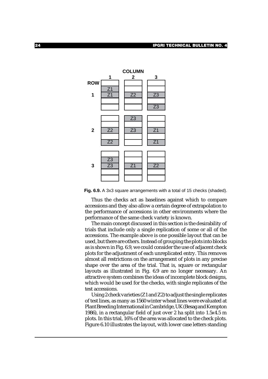

**Fig. 6.9.** A 3x3 square arrangements with a total of 15 checks (shaded).

Thus the checks act as baselines against which to compare accessions and they also allow a certain degree of extrapolation to the performance of accessions in other environments where the performance of the same check variety is known.

The main concept discussed in this section is the desirability of trials that include only a single replication of some or all of the accessions. The example above is one possible layout that can be used, but there are others. Instead of grouping the plots into blocks as is shown in Fig. 6.9, we could consider the use of adjacent check plots for the adjustment of each unreplicated entry. This removes almost all restrictions on the arrangement of plots in any precise shape over the area of the trial. That is, square or rectangular layouts as illustrated in Fig. 6.9 are no longer necessary. An attractive system combines the ideas of incomplete block designs, which would be used for the checks, with single replicates of the test accessions.

Using 2 check varieties (Z1 and Z2) to adjust the single replicates of test lines, as many as 1560 winter wheat lines were evaluated at Plant Breeding International in Cambridge, UK (Besag and Kempton 1986), in a rectangular field of just over 2 ha split into 1.5x4.5 m plots. In this trial, 16% of the area was allocated to the check plots. Figure 6.10 illustrates the layout, with lower case letters standing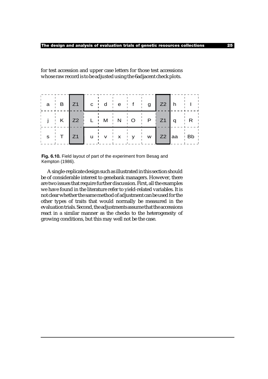for test accession and upper case letters for those test accessions whose raw record is to be adjusted using the 6adjacent check plots.

| $\begin{array}{cc} \cdot & a & \cdot & B \end{array}$ | Z1   c d e f g   Z2   h              |  |  |  |                                       |
|-------------------------------------------------------|--------------------------------------|--|--|--|---------------------------------------|
|                                                       | j K Z2 L M N O P Z1 q                |  |  |  | $\mathbf{r} = \frac{1}{2} \mathbf{R}$ |
| S                                                     | Z1   u   v   x   y   w   Z2  aa   Bb |  |  |  |                                       |

**Fig. 6.10.** Field layout of part of the experiment from Besag and Kempton (1986).

A single-replicate design such as illustrated in this section should be of considerable interest to genebank managers. However, there are two issues that require further discussion. First, all the examples we have found in the literature refer to yield-related variables. It is not clear whether the same method of adjustment can be used for the other types of traits that would normally be measured in the evaluation trials. Second, the adjustments assume that the accessions react in a similar manner as the checks to the heterogeneity of growing conditions, but this may well not be the case.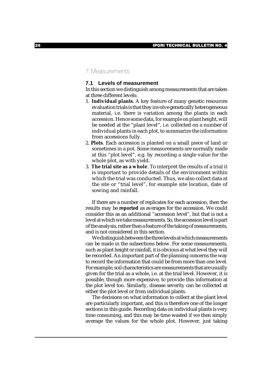## 7 Measurements

## **7.1 Levels of measurement**

In this section we distinguish among measurements that are taken at three different levels:

- 1. **Individual plants**. A key feature of many genetic resources evaluation trials is that they involve genetically heterogeneous material, i.e. there is variation among the plants in each accession. Hence some data, for example on plant height, will be needed at the "plant level", i.e. collected on a number of individual plants in each plot, to summarize the information from accessions fully.
- 2. **Plots**. Each accession is planted on a small piece of land or sometimes in a pot. Some measurements are normally made at this "plot level", e.g. by recording a single value for the whole plot, as with yield.
- 3. **The trial site as a whole**. To interpret the results of a trial it is important to provide details of the environment within which the trial was conducted. Thus, we also collect data at the site or "trial level", for example site location, date of sowing and rainfall.

If there are a number of replicates for each accession, then the results may be **reported** as averages for the accession. We could consider this as an additional "accession level", but that is not a level at which we take measurements. So, the accession level is part of the analysis, rather than a feature of the taking of measurements, and is not considered in this section.

We distinguish between the three levels at which measurements can be made in the subsections below. For some measurements, such as plant height or rainfall, it is obvious at what level they will be recorded. An important part of the planning concerns the way to record the information that could be from more than one level. For example, soil characteristics are measurements that are usually given for the trial as a whole, i.e. at the trial level. However, it is possible, though more expensive, to provide this information at the plot level too. Similarly, disease severity can be collected at either the plot level or from individual plants.

The decisions on what information to collect at the plant level are particularly important, and this is therefore one of the longer sections in this guide. Recording data on individual plants is very time consuming, and this may be time wasted if we then simply average the values for the whole plot. However, just taking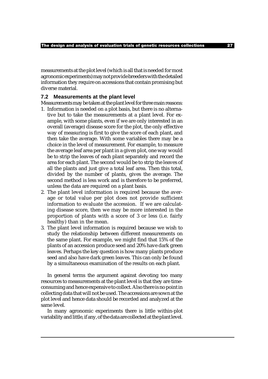measurements at the plot level (which is all that is needed for most agronomic experiments) may not provide breeders with the detailed information they require on accessions that contain promising but diverse material.

#### **7.2 Measurements at the plant level**

Measurements may be taken at the plant level for three main reasons:

- 1. Information is needed on a plot basis, but there is no alternative but to take the measurements at a plant level. For example, with some plants, even if we are only interested in an overall (average) disease score for the plot, the only effective way of measuring is first to give the score of each plant, and then take the average. With some variables there may be a choice in the level of measurement. For example, to measure the average leaf area per plant in a given plot, one way would be to strip the leaves of each plant separately and record the area for each plant. The second would be to strip the leaves of all the plants and just give a total leaf area. Then this total, divided by the number of plants, gives the average. The second method is less work and is therefore to be preferred, unless the data are required on a plant basis.
- 2. The plant level information is required because the average or total value per plot does not provide sufficient information to evaluate the accession. If we are calculating disease score, then we may be more interested in the proportion of plants with a score of 3 or less (i.e. fairly healthy) than in the mean.
- 3. The plant level information is required because we wish to study the relationship between different measurements on the same plant. For example, we might find that 15% of the plants of an accession produce seed and 20% have dark green leaves. Perhaps the key question is how many plants produce seed and also have dark green leaves. This can only be found by a simultaneous examination of the results on each plant.

In general terms the argument against devoting too many resources to measurements at the plant level is that they are timeconsuming and hence expensive to collect. Also there is no point in collecting data that will not be used. The accessions are sown at the plot level and hence data should be recorded and analyzed at the same level.

In many agronomic experiments there is little within-plot variability and little, if any, of the data are collected at the plant level.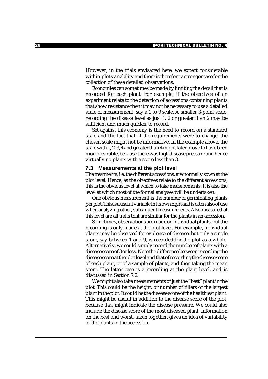However, in the trials envisaged here, we expect considerable within-plot variability and there is therefore a stronger case for the collection of these detailed observations.

Economies can sometimes be made by limiting the detail that is recorded for each plant. For example, if the objectives of an experiment relate to the detection of accessions containing plants that show resistance then it may not be necessary to use a detailed scale of measurement, say a 1 to 9 scale. A smaller 3-point scale, recording the disease level as just 1, 2 or greater than 2 may be sufficient and much quicker to record.

Set against this economy is the need to record on a standard scale and the fact that, if the requirements were to change, the chosen scale might not be informative. In the example above, the scale with 1, 2, 3, 4 and greater than 4 might later prove to have been more desirable, because there was high disease pressure and hence virtually no plants with a score less than 3.

#### **7.3 Measurements at the plot level**

The treatments, i.e. the different accessions, are normally sown at the plot level. Hence, as the objectives relate to the different accessions, this is the obvious level at which to take measurements. It is also the level at which most of the formal analyses will be undertaken.

One obvious measurement is the number of germinating plants per plot. This is a useful variable in its own right and is often also of use when analyzing other, subsequent measurements. Also measured at this level are all traits that are similar for the plants in an accession.

Sometimes, observations are made on individual plants, but the recording is only made at the plot level. For example, individual plants may be observed for evidence of disease, but only a single score, say between 1 and 9, is recorded for the plot as a whole. Alternatively, we could simply record the number of plants with a disease score of 3 or less. Note the difference between recording the disease score at the plot level and that of recording the disease score of each plant, or of a sample of plants, and then taking the mean score. The latter case is a recording at the plant level, and is discussed in Section 7.2.

We might also take measurements of just the "best" plant in the plot. This could be the height, or number of tillers of the largest plant in the plot. It could be the disease score of the healthiest plant. This might be useful in addition to the disease score of the plot, because that might indicate the disease pressure. We could also include the disease score of the most diseased plant. Information on the best and worst, taken together, gives an idea of variability of the plants in the accession.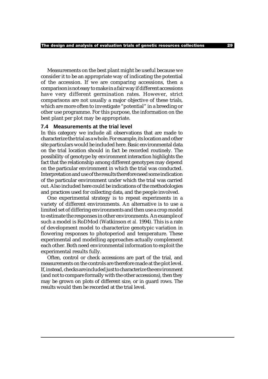Measurements on the best plant might be useful because we consider it to be an appropriate way of indicating the potential of the accession. If we are comparing accessions, then a comparison is not easy to make in a fair way if different accessions have very different germination rates. However, strict comparisons are not usually a major objective of these trials, which are more often to investigate "potential" in a breeding or other use programme. For this purpose, the information on the best plant per plot may be appropriate.

#### **7.4 Measurements at the trial level**

In this category we include all observations that are made to characterize the trial as a whole. For example, its location and other site particulars would be included here. Basic environmental data on the trial location should in fact be recorded routinely. The possibility of genotype by environment interaction highlights the fact that the relationship among different genotypes may depend on the particular environment in which the trial was conducted. Interpretation and use of the results therefore need some indication of the particular environment under which the trial was carried out. Also included here could be indications of the methodologies and practices used for collecting data, and the people involved.

One experimental strategy is to repeat experiments in a variety of different environments. An alternative is to use a limited set of differing environments and then use a crop model to estimate the responses in other environments. An example of such a model is RoDMod (Watkinson *et al.* 1994). This is a rate of development model to characterize genotypic variation in flowering responses to photoperiod and temperature. These experimental and modelling approaches actually complement each other. Both need environmental information to exploit the experimental results fully.

Often, control or check accessions are part of the trial, and measurements on the controls are therefore made at the plot level. If, instead, checks are included just to characterize the environment (and not to compare formally with the other accessions), then they may be grown on plots of different size, or in guard rows. The results would then be recorded at the trial level.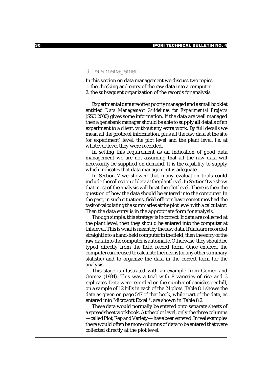## 8 Data management

In this section on data management we discuss two topics:

- 1. the checking and entry of the raw data into a computer
- 2. the subsequent organization of the records for analysis.

Experimental data are often poorly managed and a small booklet entitled *Data Management Guidelines for Experimental Projects* (SSC 2000) gives some information. If the data are well managed then a genebank manager should be able to supply **all** details of an experiment to a client, without any extra work. By full details we mean all the protocol information, plus all the raw data at the site (or experiment) level, the plot level and the plant level, i.e. at whatever level they were recorded.

In setting this requirement as an indication of good data management we are not assuming that all the raw data will necessarily be supplied on demand. It is the *capability* to supply which indicates that data management is adequate.

In Section 7 we showed that many evaluation trials could include the collection of data at the plant level. In Section 9 we show that most of the analysis will be at the plot level. There is then the question of how the data should be entered into the computer. In the past, in such situations, field officers have sometimes had the task of calculating the summaries at the plot level with a calculator. Then the data entry is in the appropriate form for analysis.

Though simple, this strategy is incorrect. If data are collected at the plant level, then they should be entered into the computer at this level. This is what is meant by the raw data. If data are recorded straight into a hand-held computer in the field, then the entry of the **raw**data into the computer is automatic. Otherwise, they should be typed directly from the field record form. Once entered, the computer can be used to calculate the means (or any other summary statistic) and to organize the data in the correct form for the analysis.

This stage is illustrated with an example from Gomez and Gomez (1984). This was a trial with 8 varieties of rice and 3 replicates. Data were recorded on the number of panicles per hill, on a sample of 12 hills in each of the 24 plots. Table 8.1 shows the data as given on page 547 of that book, while part of the data, as entered into Microsoft Excel ®, are shown in Table 8.2.

These data would normally be entered onto separate sheets of a spreadsheet workbook. At the plot level, only the three columns —called Plot, Rep and Variety— have been entered. In real examples there would often be more columns of data to be entered that were collected directly at the plot level.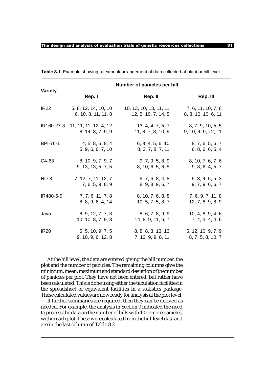|                 |                                  | Number of panicles per hill |                     |
|-----------------|----------------------------------|-----------------------------|---------------------|
| <b>Variety</b>  | Rep. I                           | Rep. II                     | Rep. III            |
| <b>IR22</b>     | 5, 8, 12, 14, 10, 10             | 10, 13, 10, 13, 11, 11      | 7, 6, 11, 10, 7, 8  |
|                 | 6, 10, 8, 11, 11, 8              | 12, 5, 10, 7, 14, 5         | 8, 8, 10, 10, 6, 11 |
|                 | IR160-27-3 11, 11, 11, 12, 4, 12 | 13, 4, 4, 7, 5, 7           | 8, 7, 9, 10, 5, 5   |
|                 | 8, 14, 8, 7, 9, 9                | 11, 8, 7, 8, 10, 9          | 9, 10, 4, 9, 12, 11 |
| <b>BPI-76-1</b> | 4, 5, 8, 5, 8, 4                 | 6, 8, 4, 5, 6, 10           | 8, 7, 6, 5, 6, 7    |
|                 | 5, 9, 6, 6, 7, 10                | 8, 3, 7, 8, 7, 11           | 6, 8, 6, 6, 5, 4    |
| C4-63           | 8, 10, 9, 7, 9, 7                | 9, 7, 9, 5, 8, 9            | 8, 10, 7, 6, 7, 6   |
|                 | 9, 13, 13, 5, 7, 5               | 8, 10, 6, 5, 6, 5           | 9, 8, 6, 4, 5, 7    |
| $RD-3$          | 7, 12, 7, 11, 12, 7              | 9, 7, 6, 8, 4, 8            | 9, 3, 4, 6, 5, 3    |
|                 | 7, 6, 5, 9, 8, 9                 | 8, 9, 8, 9, 6, 7            | 9, 7, 9, 6, 6, 7    |
| IR480-5-9       | 7, 7, 6, 11, 7, 8                | 8, 10, 7, 6, 8, 8           | 7, 6, 9, 7, 11, 8   |
|                 | 8, 8, 9, 6, 4, 14                | 10, 5, 7, 5, 8, 7           | 12, 7, 8, 9, 8, 9   |
| Jaya            | 8, 9, 12, 7, 7, 3                | 8, 6, 7, 8, 9, 9            | 10, 4, 8, 9, 4, 6   |
|                 | 10, 10, 8, 7, 9, 8               | 14, 8, 9, 11, 6, 7          | 7, 4, 3, 4, 4, 6    |
| <b>IR20</b>     | 5, 5, 10, 9, 7, 5                | 8, 8, 8, 3, 13, 13          | 5, 12, 10, 9, 7, 9  |
|                 | 9, 10, 9, 6, 12, 8               | 7, 12, 9, 9, 8, 11          | 8, 7, 5, 8, 10, 7   |

**Table 8.1.** Example showing a textbook arrangement of data collected at plant or hill level

At the hill level, the data are entered giving the hill number, the plot and the number of panicles. The remaining columns give the minimum, mean, maximum and standard deviation of the number of panicles per plot. They have not been entered, but rather have been calculated. This is done using either the tabulation facilities in the spreadsheet or equivalent facilities in a statistics package. These calculated values are now ready for analysis at the plot level.

If further summaries are required, then they can be derived as needed. For example, the analysis in Section 9 indicated the need to process the data on the number of hills with 10 or more panicles, within each plot. These were calculated from the hill-level data and are in the last column of Table 8.2.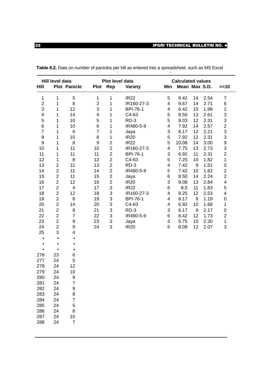|                         | Hill level data  |                     |                          |                           | Plot level data |                          | <b>Calculated values</b> |       |      |                           |
|-------------------------|------------------|---------------------|--------------------------|---------------------------|-----------------|--------------------------|--------------------------|-------|------|---------------------------|
| Hill                    |                  | <b>Plot Panicle</b> | <b>Plot</b>              | Rep                       | <b>Variety</b>  | Min                      | Mean Max S.D.            |       |      | $>=10$                    |
| $\mathbf{1}$            | 1                | $\mathbf 5$         | $\mathbf{1}$             | 1                         | <b>IR22</b>     | 5                        | 9.42                     | 14    | 2.54 | $\overline{7}$            |
| $\overline{2}$          | 1                | $\,8\,$             | $\overline{2}$           | 1                         | IR160-27-3      | $\overline{4}$           | 9.67                     | 14    | 2.71 | 6                         |
| 3                       | 1                | 12                  | 3                        | $\mathbf{1}$              | <b>BPI-76-1</b> | 4                        | 6.42                     | 10    | 1.98 | $\mathbf{1}$              |
| $\overline{\mathbf{4}}$ | 1                | 14                  | $\overline{\mathcal{A}}$ | 1                         | C4-63           | 5                        | 8.50                     | 13    | 2.61 | $\ensuremath{\mathsf{3}}$ |
| 5                       | 1                | 10                  | 5                        | 1                         | RD-3            | 5                        | 8.33                     | 12    | 2.31 | $\ensuremath{\mathsf{3}}$ |
| 6                       | 1                | 10                  | 6                        | 1                         | IR480-5-9       | 4                        | 7.92                     | 14    | 2.57 | $\overline{2}$            |
| $\overline{7}$          | 1                | $\,6$               | $\overline{7}$           | 1                         | Jaya            | 3                        | 8.17                     | 12    | 2.21 | 3                         |
| 8                       | 1                | 10                  | 8                        | 1                         | <b>IR20</b>     | 5                        | 7.92                     | 12    | 2.31 | $\mathfrak{S}$            |
| 9                       | 1                | 8                   | $\boldsymbol{9}$         | $\sqrt{2}$                | <b>IR22</b>     | 5                        | 10.08                    | 14    | 3.00 | $\boldsymbol{9}$          |
| 10                      | 1                | 11                  | 10                       | $\overline{2}$            | IR160-27-3      | $\overline{\mathcal{L}}$ | 7.75                     | 13    | 2.73 | $\ensuremath{\mathsf{3}}$ |
| 11                      | 1                | 11                  | 11                       | $\overline{2}$            | <b>BPI-76-1</b> | $\mathsf 3$              | 6.92                     | 11    | 2.31 | $\overline{2}$            |
| 12                      | 1                | 8                   | 12                       | $\overline{2}$            | C4-63           | 5                        | 7.25                     | 10    | 1.82 | $\mathbf{1}$              |
| 13                      | $\overline{2}$   | 11                  | 13                       | $\overline{2}$            | RD-3            | 4                        | 7.42                     | $9\,$ | 1.51 | $\mathsf 0$               |
| 14                      | $\overline{2}$   | 11                  | 14                       | $\overline{2}$            | IR480-5-9       | 5                        | 7.42                     | 10    | 1.62 | $\overline{2}$            |
| 15                      | $\overline{2}$   | 11                  | 15                       | $\sqrt{2}$                | Jaya            | $\,6$                    | 8.50                     | 14    | 2.24 | $\overline{c}$            |
| 16                      | $\overline{2}$   | 12                  | 16                       | $\overline{2}$            | <b>IR20</b>     | 3                        | 9.08                     | 13    | 2.84 | $\overline{4}$            |
| 17                      | $\boldsymbol{2}$ | $\overline{4}$      | 17                       | $\mathsf 3$               | <b>IR22</b>     | 6                        | 8.5                      | 11    | 1.83 | 5                         |
| 18                      | $\overline{2}$   | 12                  | 18                       | $\mathsf 3$               | IR160-27-3      | 4                        | 8.25                     | 12    | 2.53 | $\overline{4}$            |
| 19                      | $\overline{2}$   | 8                   | 19                       | $\ensuremath{\mathsf{3}}$ | <b>BPI-76-1</b> | 4                        | 6.17                     | 8     | 1.19 | $\boldsymbol{0}$          |
| 20                      | $\overline{2}$   | 14                  | 20                       | $\ensuremath{\mathsf{3}}$ | C4-63           | 4                        | 6.92                     | 10    | 1.68 | $\mathbf{1}$              |
| 21                      | $\overline{2}$   | 8                   | 21                       | $\ensuremath{\mathsf{3}}$ | RD-3            | 3                        | 6.17                     | 9     | 2.17 | $\mbox{O}$                |
| 22                      | $\overline{2}$   | $\overline{7}$      | 22                       | $\ensuremath{\mathsf{3}}$ | IR480-5-9       | 6                        | 8.42                     | 12    | 1.73 | $\sqrt{2}$                |
| 23                      | $\overline{2}$   | $\boldsymbol{9}$    | 23                       | $\ensuremath{\mathsf{3}}$ | Jaya            | 3                        | 5.75                     | 10    | 2.30 | $\mathbf{1}$              |
| 24                      | $\overline{2}$   | $\boldsymbol{9}$    | 24                       | $\mathsf 3$               | <b>IR20</b>     | 5                        | 8.08                     | 12    | 2.07 | 3                         |
| 25                      | 3                | 4                   |                          |                           |                 |                          |                          |       |      |                           |
| $\bullet$               | $\bullet$        | $\bullet$           |                          |                           |                 |                          |                          |       |      |                           |
| $\bullet$               | $\bullet$        | $\bullet$           |                          |                           |                 |                          |                          |       |      |                           |
| $\bullet$               | $\bullet$        | $\bullet$           |                          |                           |                 |                          |                          |       |      |                           |
| 276                     | 23               | 6                   |                          |                           |                 |                          |                          |       |      |                           |
| 277                     | 24               | 5                   |                          |                           |                 |                          |                          |       |      |                           |
| 278                     | 24               | 12                  |                          |                           |                 |                          |                          |       |      |                           |
| 279                     | 24               | 10                  |                          |                           |                 |                          |                          |       |      |                           |
| 280                     | 24               | 9                   |                          |                           |                 |                          |                          |       |      |                           |
| 281                     | 24               | 7                   |                          |                           |                 |                          |                          |       |      |                           |
| 282                     | 24               | 9                   |                          |                           |                 |                          |                          |       |      |                           |
| 283                     | 24               | 8                   |                          |                           |                 |                          |                          |       |      |                           |
| 284                     | 24               | 7                   |                          |                           |                 |                          |                          |       |      |                           |
| 285                     | 24               | 5                   |                          |                           |                 |                          |                          |       |      |                           |
| 286                     | 24               | 8                   |                          |                           |                 |                          |                          |       |      |                           |
| 287                     | 24               | 10                  |                          |                           |                 |                          |                          |       |      |                           |
| 288                     | 24               | $\overline{7}$      |                          |                           |                 |                          |                          |       |      |                           |
|                         |                  |                     |                          |                           |                 |                          |                          |       |      |                           |

**Table 8.2.** Data on number of panicles per hill as entered into a spreadsheet. such as MS Excel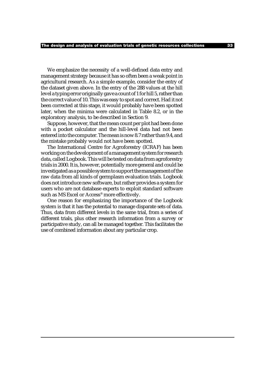We emphasize the necessity of a well-defined data entry and management strategy because it has so often been a weak point in agricultural research. As a simple example, consider the entry of the dataset given above. In the entry of the 288 values at the hill level a typing error originally gave a count of 1 for hill 5, rather than the correct value of 10. This was easy to spot and correct. Had it not been corrected at this stage, it would probably have been spotted later, when the minima were calculated in Table 8.2, or in the exploratory analysis, to be described in Section 9.

Suppose, however, that the mean count per plot had been done with a pocket calculator and the hill-level data had not been entered into the computer. The mean is now 8.7 rather than 9.4, and the mistake probably would not have been spotted.

The International Centre for Agroforestry (ICRAF) has been working on the development of a management system for research data, called Logbook. This will be tested on data from agroforestry trials in 2000. It is, however, potentially more general and could be investigated as a possible system to support the management of the raw data from all kinds of germplasm evaluation trials. Logbook does not introduce new software, but rather provides a system for users who are not database experts to exploit standard software such as MS Excel or Access® more effectively.

One reason for emphasizing the importance of the Logbook system is that it has the potential to manage disparate sets of data. Thus, data from different levels in the same trial, from a series of different trials, plus other research information from a survey or participative study, can all be managed together. This facilitates the use of combined information about any particular crop.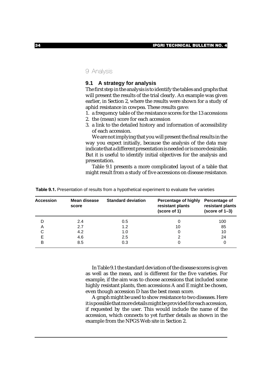## 9 Analysis

### **9.1 A strategy for analysis**

The first step in the analysis is to identify the tables and graphs that will present the results of the trial clearly. An example was given earlier, in Section 2, where the results were shown for a study of aphid resistance in cowpea. These results gave:

1. a frequency table of the resistance scores for the 13 accessions

- 2. the (mean) score for each accession
- 3. a link to the detailed history and information of accessibility of each accession.

We are not implying that you will present the final results in the way you expect initially, because the analysis of the data may indicate that a different presentation is needed or is more desirable. But it is useful to identify initial objectives for the analysis and presentation.

Table 9.1 presents a more complicated layout of a table that might result from a study of five accessions on disease resistance.

| <b>Accession</b> | Mean disease<br>score | <b>Standard deviation</b> | <b>Percentage of highly</b><br>resistant plants<br>(score of 1) | Percentage of<br>resistant plants<br>$(score of 1-3)$ |
|------------------|-----------------------|---------------------------|-----------------------------------------------------------------|-------------------------------------------------------|
|                  | 2.4                   | 0.5                       | 0                                                               | 100                                                   |
| A                | 2.7                   | 1.2                       | 10                                                              | 85                                                    |
| С                | 4.2                   | 1.0                       |                                                                 | 10                                                    |
| Е                | 4.6                   | 2.5                       |                                                                 | 24                                                    |
| B                | 8.5                   | 0.3                       | O                                                               |                                                       |

Table 9.1. Presentation of results from a hypothetical experiment to evaluate five varieties

In Table 9.1 the standard deviation of the disease scores is given as well as the mean, and is different for the five varieties. For example, if the aim was to choose accessions that included some highly resistant plants, then accessions A and E might be chosen, even though accession D has the best mean score.

A graph might be used to show resistance to two diseases. Here it is possible that more details might be provided for each accession, if requested by the user. This would include the name of the accession, which connects to yet further details as shown in the example from the NPGS Web site in Section 2.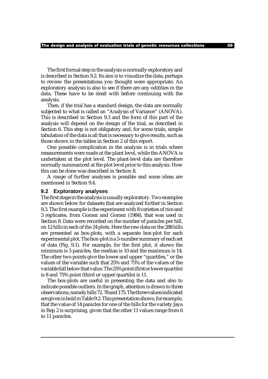The first formal step in the analysis is normally exploratory and is described in Section 9.2. Its aim is to visualize the data, perhaps to review the presentations you thought were appropriate. An exploratory analysis is also to see if there are any oddities in the data. These have to be dealt with before continuing with the analysis.

Then, if the trial has a standard design, the data are normally subjected to what is called an "Analysis of Variance" (ANOVA). This is described in Section 9.3 and the form of this part of the analysis will depend on the design of the trial, as described in Section 6. This step is not obligatory and, for some trials, simple tabulation of the data is all that is necessary to give results, such as those shown in the tables in Section 2 of this report.

One possible complication in the analysis is in trials where measurements were made at the plant level, while the ANOVA is undertaken at the plot level. The plant-level data are therefore normally summarized at the plot level prior to this analysis. How this can be done was described in Section 8.

A range of further analyses is possible and some ideas are mentioned in Section 9.4.

#### **9.2 Exploratory analyses**

The first stage in the analysis is usually exploratory. Two examples are shown below for datasets that are analyzed further in Section 9.3. The first example is the experiment with 8 varieties of rice and 3 replicates, from Gomez and Gomez (1984), that was used in Section 8. Data were recorded on the number of panicles per hill, on 12 hills in each of the 24 plots. Here the raw data on the 288 hills are presented as box-plots, with a separate box-plot for each experimental plot. The box-plot is a 5-number summary of each set of data (Fig. 9.1). For example, for the first plot, it shows the minimum is 5 panicles, the median is 10 and the maximum is 14. The other two points give the lower and upper "quartiles," or the values of the variable such that 25% and 75% of the values of the variable fall below that value. The 25% point (first or lower quartile) is 8 and 75% point (third or upper quartile) is 11.

The box-plots are useful in presenting the data and also to indicate possible outliers. In the graph, attention is drawn to three observations, namely hills 72, 78 and 175. The three values indicated are given in bold in Table 9.2. This presentation shows, for example, that the value of 14 panicles for one of the hills for the variety Jaya in Rep 2 is surprising, given that the other 11 values range from 6 to 11 panicles.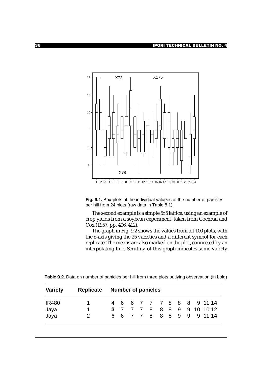

**Fig. 9.1.** Box-plots of the individual valuees of the number of panicles per hill from 24 plots (raw data in Table 8.1).

The second example is a simple 5x5 lattice, using an example of crop yields from a soybean experiment, taken from Cochran and Cox (1957: pp. 406, 412).

The graph in Fig. 9.2 shows the values from all 100 plots, with the *x*-axis giving the 25 varieties and a different symbol for each replicate. The means are also marked on the plot, connected by an interpolating line. Scrutiny of this graph indicates some variety

**Table 9.2.** Data on number of panicles per hill from three plots outlying observation (in bold)

| <b>Variety</b> |                | Replicate Number of panicles |  |  |  |  |  |  |  |                            |
|----------------|----------------|------------------------------|--|--|--|--|--|--|--|----------------------------|
| <b>IR480</b>   | $1 \quad$      |                              |  |  |  |  |  |  |  | 4 6 6 7 7 7 8 8 8 9 11 14  |
| Jaya           | 1.             |                              |  |  |  |  |  |  |  | 3 7 7 7 8 8 8 9 9 10 10 12 |
| Jaya           | $\overline{2}$ |                              |  |  |  |  |  |  |  | 6 6 7 7 8 8 8 9 9 9 11 14  |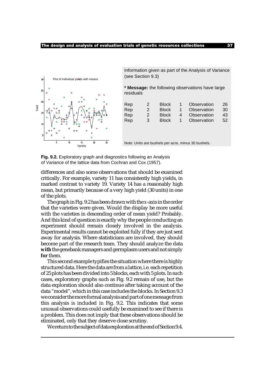

Information given as part of the Analysis of Variance (see Section 9.3)

**\* Message:** the following observations have large residuals

| 1.<br>Rep<br>Observation<br><b>Block</b><br>$\mathcal{P}$<br>Rep<br>Observation<br><b>Block</b><br>$\mathcal{P}$<br>4<br>Rep<br>Observation<br><b>Block</b><br>3<br>1 | Rep | $\mathcal{P}$ | <b>Block</b> |  | Observation | 26<br>30<br>43<br>52 |
|-----------------------------------------------------------------------------------------------------------------------------------------------------------------------|-----|---------------|--------------|--|-------------|----------------------|
|-----------------------------------------------------------------------------------------------------------------------------------------------------------------------|-----|---------------|--------------|--|-------------|----------------------|

Note: Units are bushels per acre, minus 30 bushels.

**Fig. 9.2.** Exploratory graph and diagnostics following an Analysis of Variance of the lattice data from Cochran and Cox (1957).

differences and also some observations that should be examined critically. For example, variety 11 has consistently high yields, in marked contrast to variety 19. Variety 14 has a reasonably high mean, but primarily because of a very high yield (30 units) in one of the plots.

The graph in Fig. 9.2 has been drawn with the *x*-axis in the order that the varieties were given. Would the display be more useful with the varieties in descending order of mean yield? Probably. And this kind of question is exactly why the people conducting an experiment should remain closely involved in the analysis. Experimental results cannot be exploited fully if they are just sent away for analysis. Where statisticians are involved, they should become part of the research team. They should analyze the data **with**the genebank managers and germplasm users and not simply **for** them.

This second example typifies the situation where there is highly structured data. Here the data are from a lattice, i.e. each repetition of 25 plots has been divided into 5 blocks, each with 5 plots. In such cases, exploratory graphs such as Fig. 9.2 remain of use, but the data exploration should also continue after taking account of the data "model", which in this case includes the blocks. In Section 9.3 we consider the more formal analysis and part of one message from this analysis is included in Fig. 9.2. This indicates that some unusual observations could usefully be examined to see if there is a problem. This does not imply that these observations should be eliminated, only that they deserve close scrutiny.

We return to the subject of data exploration at the end of Section 9.4.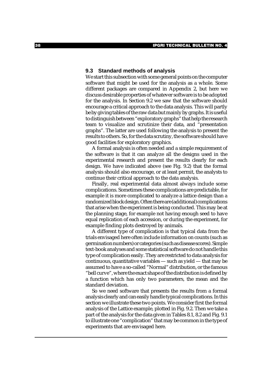#### **9.3 Standard methods of analysis**

We start this subsection with some general points on the computer software that might be used for the analysis as a whole. Some different packages are compared in Appendix 2, but here we discuss desirable properties of whatever software is to be adopted for the analysis. In Section 9.2 we saw that the software should encourage a critical approach to the data analysis. This will partly be by giving tables of the raw data but mainly by graphs. It is useful to distinguish between "exploratory graphs" that help the research team to visualize and scrutinize their data, and "presentation graphs". The latter are used following the analysis to present the results to others. So, for the data scrutiny, the software should have good facilities for exploratory graphics.

A formal analysis is often needed and a simple requirement of the software is that it can analyze all the designs used in the experimental research and present the results clearly for each design. We have indicated above (see Fig. 9.2) that the formal analysis should also encourage, or at least permit, the analysts to continue their critical approach to the data analysis.

Finally, real experimental data almost always include some complications. Sometimes these complications are predictable, for example it is more complicated to analyze a lattice design than a randomized block design. Often there are (additional) complications that arise when the experiment is being conducted. This may be at the planning stage, for example not having enough seed to have equal replication of each accession, or during the experiment, for example finding plots destroyed by animals.

A different type of complication is that typical data from the trials envisaged here often include information on counts (such as germination numbers) or categories (such as disease scores). Simple text-book analyses and some statistical software do not handle this type of complication easily. They are restricted to data analysis for continuous, quantitative variables — such as yield — that may be assumed to have a so-called "Normal" distribution, or the famous "bell curve", where the exact shape of the distribution is defined by a function which has only two parameters, the mean and the standard deviation.

So we need software that presents the results from a formal analysis clearly and can easily handle typical complications. In this section we illustrate these two points. We consider first the formal analysis of the Lattice example, plotted in Fig. 9.2. Then we take a part of the analysis for the data given in Tables 8.1, 8.2 and Fig. 9.1 to illustrate one "complication" that may be common in the type of experiments that are envisaged here.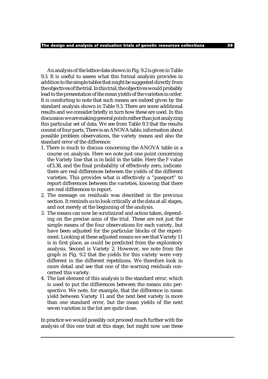An analysis of the lattice data shown in Fig. 9.2 is given in Table 9.3. It is useful to assess what this formal analysis provides in addition to the simple tables that might be suggested directly from the objectives of the trial. In this trial, the objectives would probably lead to the presentation of the mean yields of the varieties in order. It is comforting to note that such means are indeed given by the standard analysis shown in Table 9.3. There are some additional results and we consider briefly in turn how these are used. In this discussion we are making general points rather than just analyzing this particular set of data. We see from Table 9.3 that the results consist of four parts. There is an ANOVA table, information about possible problem observations, the variety means and also the standard error of the difference:

- 1. There is much to discuss concerning the ANOVA table in a course on analysis. Here we note just one point concerning the Variety line that is in bold in the table. Here the *F* value of3.38, and the final probability of effectively zero, indicate there are real differences between the yields of the different varieties. This provides what is effectively a "passport" to report differences between the varieties, knowing that there are real differences to report.
- 2. The message on residuals was described in the previous section. It reminds us to look critically at the data at all stages, and not merely at the beginning of the analysis.
- 3. The means can now be scrutinized and action taken, depending on the precise aims of the trial. These are not just the simple means of the four observations for each variety, but have been adjusted for the particular blocks of the experiment. Looking at these adjusted means we see that Variety 11 is in first place, as could be predicted from the exploratory analysis. Second is Variety 2. However, we note from the graph in Fig. 9.2 that the yields for this variety were very different in the different repetitions. We therefore look in more detail and see that one of the warning residuals concerned this variety.
- 4. The last element of this analysis is the standard error, which is used to put the differences between the means into perspective. We note, for example, that the difference in mean yield between Variety 11 and the next best variety is more than one standard error, but the mean yields of the next seven varieties in the list are quite close.

In practice we would possibly not proceed much further with the analysis of this one trait at this stage, but might now use these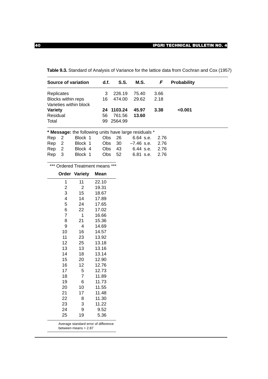|                   |                           | Source of variation    | d.f. | S.S.                                                  | M.S.         | F    | <b>Probability</b> |  |
|-------------------|---------------------------|------------------------|------|-------------------------------------------------------|--------------|------|--------------------|--|
| <b>Replicates</b> |                           |                        | 3    | 226.19                                                | 75.40        | 3.66 |                    |  |
|                   | <b>Blocks within reps</b> |                        | 16   | 474.00                                                | 29.62        | 2.18 |                    |  |
|                   |                           | Varieties within block |      |                                                       |              |      |                    |  |
| <b>Variety</b>    |                           |                        | 24   | 1103.24                                               | 45.97        | 3.38 | < 0.001            |  |
| Residual          |                           |                        | 56   | 761.56                                                | 13.60        |      |                    |  |
| Total             |                           |                        |      | 99 2564.99                                            |              |      |                    |  |
|                   |                           |                        |      | * Message: the following units have large residuals * |              |      |                    |  |
| Rep               | -2                        | Block 1                | Obs. | 26                                                    | 6.64 s.e.    | 2.76 |                    |  |
| Rep               | -2                        | Block 1                | Obs. | 30                                                    | $-7.46$ s.e. | 2.76 |                    |  |
| Rep               | - 2                       | Block 4                | Obs. | 43                                                    | 6.44 s.e.    | 2.76 |                    |  |
| Rep               | 3                         | Block 1                | Obs  | 52                                                    | 6.81 s.e.    | 2.76 |                    |  |
|                   |                           |                        |      |                                                       |              |      |                    |  |

**Table 9.3.** Standard of Analysis of Variance for the lattice data from Cochran and Cox (1957)

|  | *** Ordered Treatment means *** |  |
|--|---------------------------------|--|
|--|---------------------------------|--|

|                         | <b>Order Variety</b> | Mean                                 |
|-------------------------|----------------------|--------------------------------------|
| 1                       | 11                   | 22.10                                |
| $\overline{\mathbf{c}}$ | $\overline{2}$       | 19.31                                |
| 3                       | 15                   | 18.67                                |
| 4                       | 14                   | 17.89                                |
| 5                       | 24                   | 17.65                                |
| 6                       | 22                   | 17.02                                |
| 7                       | 1                    | 16.66                                |
| 8                       | 21                   | 15.36                                |
| 9                       | 4                    | 14.69                                |
| 10                      | 16                   | 14.57                                |
| 11                      | 23                   | 13.92                                |
| 12                      | 25                   | 13.18                                |
| 13                      | 13                   | 13.16                                |
| 14                      | 18                   | 13.14                                |
| 15                      | 20                   | 12.90                                |
| 16                      | 12                   | 12.76                                |
| 17                      | 5                    | 12.73                                |
| 18                      | $\overline{7}$       | 11.89                                |
| 19                      | 6                    | 11.73                                |
| 20                      | 10                   | 11.55                                |
| 21                      | 17                   | 11.48                                |
| 22                      | 8                    | 11.30                                |
| 23                      | 3                    | 11.22                                |
| 24                      | 9                    | 9.52                                 |
| 25                      | 19                   | 5.36                                 |
|                         |                      | Average standard error of difference |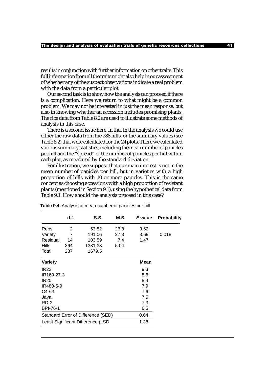results in conjunction with further information on other traits. This full information from all the traits might also help in our assessment of whether any of the suspect observations indicate a real problem with the data from a particular plot.

Our second task is to show how the analysis can proceed if there is a complication. Here we return to what might be a common problem. We may not be interested in just the mean response, but also in knowing whether an accession includes promising plants. The rice data from Table 8.2 are used to illustrate some methods of analysis in this case.

There is a second issue here, in that in the analysis we could use either the raw data from the 288 hills, or the summary values (see Table 8.2) that were calculated for the 24 plots. There we calculated various summary statistics, including the mean number of panicles per hill and the "spread" of the number of panicles per hill within each plot, as measured by the standard deviation.

For illustration, we suppose that our main interest is not in the mean number of panicles per hill, but in varieties with a high proportion of hills with 10 or more panicles. This is the same concept as choosing accessions with a high proportion of resistant plants (mentioned in Section 9.1), using the hypothetical data from Table 9.1. How should the analysis proceed in this case?

|                                    | d.f. | S.S.    | M.S. | <b>F</b> value | <b>Probability</b> |
|------------------------------------|------|---------|------|----------------|--------------------|
| Reps                               | 2    | 53.52   | 26.8 | 3.62           |                    |
| Variety                            | 7    | 191.06  | 27.3 | 3.69           | 0.018              |
| Residual                           | 14   | 103.59  | 7.4  | 1.47           |                    |
| <b>Hills</b>                       | 264  | 1331.33 | 5.04 |                |                    |
| Total                              | 287  | 1679.5  |      |                |                    |
| <b>Variety</b>                     |      |         |      | <b>Mean</b>    |                    |
| <b>IR22</b>                        |      |         |      | 9.3            |                    |
| IR160-27-3                         |      |         |      | 8.6            |                    |
| <b>IR20</b>                        |      |         |      | 8.4            |                    |
| IR480-5-9                          |      |         |      | 7.9            |                    |
| C4-63                              |      |         |      | 7.6            |                    |
| Jaya                               |      |         |      | 7.5            |                    |
| RD-3                               |      |         |      | 7.3            |                    |
| <b>BPI-76-1</b>                    |      |         |      | 6.5            |                    |
| Standard Error of Difference (SED) |      | 0.64    |      |                |                    |
| Least Significant Difference (LSD  |      | 1.38    |      |                |                    |
|                                    |      |         |      |                |                    |

**Table 9.4.** Analysis of mean number of panicles per hill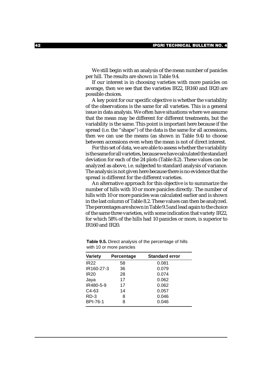We still begin with an analysis of the mean number of panicles per hill. The results are shown in Table 9.4.

If our interest is in choosing varieties with more panicles on average, then we see that the varieties IR22, IR160 and IR20 are possible choices.

A key point for our specific objective is whether the variability of the observations is the same for all varieties. This is a general issue in data analysis. We often have situations where we assume that the mean may be different for different treatments, but the variability is the same. This point is important here because if the spread (i.e. the "shape") of the data is the same for all accessions, then we can use the means (as shown in Table 9.4) to choose between accessions even when the mean is not of direct interest.

For this set of data, we are able to assess whether the variability is the same for all varieties, because we have calculated the standard deviation for each of the 24 plots (Table 8.2). These values can be analyzed as above, i.e. subjected to standard analysis of variance. The analysis is not given here because there is no evidence that the spread is different for the different varieties.

An alternative approach for this objective is to summarize the number of hills with 10 or more panicles directly. The number of hills with 10 or more panicles was calculated earlier and is shown in the last column of Table 8.2. These values can then be analyzed. The percentages are shown in Table 9.5 and lead again to the choice of the same three varieties, with some indication that variety IR22, for which 58% of the hills had 10 panicles or more, is superior to IR160 and IR20.

| <b>Variety</b>  | Percentage | <b>Standard error</b> |
|-----------------|------------|-----------------------|
| <b>IR22</b>     | 58         | 0.081                 |
| IR160-27-3      | 36         | 0.079                 |
| <b>IR20</b>     | 28         | 0.074                 |
| Jaya            | 17         | 0.062                 |
| IR480-5-9       | 17         | 0.062                 |
| $C4-63$         | 14         | 0.057                 |
| $RD-3$          | 8          | 0.046                 |
| <b>BPI-76-1</b> | 8          | 0.046                 |

**Table 9.5.** Direct analysis of the percentage of hills with 10 or more panicles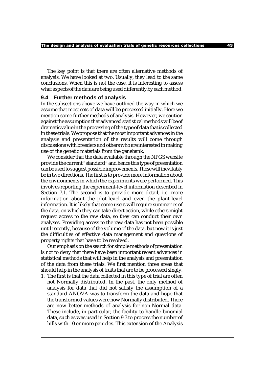The key point is that there are often alternative methods of analysis. We have looked at two. Usually, they lead to the same conclusions. When this is not the case, it is interesting to assess what aspects of the data are being used differently by each method.

#### **9.4 Further methods of analysis**

In the subsections above we have outlined the way in which we assume that most sets of data will be processed initially. Here we mention some further methods of analysis. However, we caution against the assumption that advanced statistical methods will be of dramatic value in the processing of the type of data that is collected in these trials. We propose that the most important advances in the analysis and presentation of the results will come through discussions with breeders and others who are interested in making use of the genetic materials from the genebank.

We consider that the data available through the NPGS website provide the current "standard" and hence this type of presentation can be used to suggest possible improvements. These will inevitably be in two directions. The first is to provide more information about the environments in which the experiments were performed. This involves reporting the experiment-level information described in Section 7.1. The second is to provide more detail, i.e. more information about the plot-level and even the plant-level information. It is likely that some users will require summaries of the data, on which they can take direct action, while others might request access to the raw data, so they can conduct their own analyses. Providing access to the raw data has not been possible until recently, because of the volume of the data, but now it is just the difficulties of effective data management and questions of property rights that have to be resolved.

Our emphasis on the search for simple methods of presentation is not to deny that there have been important recent advances in statistical methods that will help in the analysis and presentation of the data from these trials. We first mention three areas that should help in the analysis of traits that are to be processed singly.

1. The first is that the data collected in this type of trial are often not Normally distributed. In the past, the only method of analysis for data that did not satisfy the assumption of a standard ANOVA was to transform the data and hope that the transformed values were now Normally distributed. There are now better methods of analysis for non-Normal data. These include, in particular, the facility to handle binomial data, such as was used in Section 9.3 to process the number of hills with 10 or more panicles. This extension of the Analysis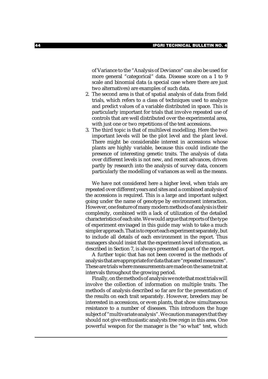of Variance to the "Analysis of Deviance" can also be used for more general "categorical" data. Disease score on a 1 to 9 scale and binomial data (a special case where there are just two alternatives) are examples of such data.

- 2. The second area is that of spatial analysis of data from field trials, which refers to a class of techniques used to analyze and predict values of a variable distributed in space. This is particularly important for trials that involve repeated use of controls that are well distributed over the experimental area, with just one or two repetitions of the test accessions.
- 3. The third topic is that of multilevel modelling. Here the two important levels will be the plot level and the plant level. There might be considerable interest in accessions whose plants are highly variable, because this could indicate the presence of interesting genetic traits. The analysis of data over different levels is not new, and recent advances, driven partly by research into the analysis of survey data, concern particularly the modelling of variances as well as the means.

We have not considered here a higher level, when trials are repeated over different years and sites and a combined analysis of the accessions is required. This is a large and important subject going under the name of genotype by environment interaction. However, one feature of many modern methods of analysis is their complexity, combined with a lack of utilization of the detailed characteristics of each site. We would argue that reports of the type of experiment envisaged in this guide may wish to take a much simpler approach. That is to report each experiment separately, but to include all details of each environment in the report. Thus managers should insist that the experiment-level information, as described in Section 7, is always presented as part of the report.

A further topic that has not been covered is the methods of analysis that are appropriate for data that are "repeated measures". These are trials where measurements are made on the same trait at intervals throughout the growing period.

Finally, on the methods of analysis we note that most trials will involve the collection of information on multiple traits. The methods of analysis described so far are for the presentation of the results on each trait separately. However, breeders may be interested in accessions, or even plants, that show simultaneous resistance to a number of diseases. This introduces the huge subject of "multivariate analysis". We caution managers that they should not give enthusiastic analysts free reign in this area. One powerful weapon for the manager is the "so what" test, which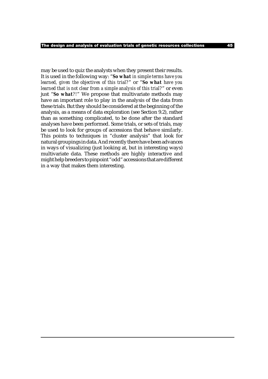may be used to quiz the analysts when they present their results. It is used in the following way: "*So what in simple terms have you learned, given the objectives of this trial?*" or "*So what have you learned that is not clear from a simple analysis of this trial?*" or even just "*So what?!*" We propose that multivariate methods may have an important role to play in the analysis of the data from these trials. But they should be considered at the beginning of the analysis, as a means of data exploration (see Section 9.2), rather than as something complicated, to be done after the standard analyses have been performed. Some trials, or sets of trials, may be used to look for groups of accessions that behave similarly. This points to techniques in "cluster analysis" that look for natural groupings in data. And recently there have been advances in ways of visualizing (just looking at, but in interesting ways) multivariate data. These methods are highly interactive and might help breeders to pinpoint "odd" accessions that are different in a way that makes them interesting.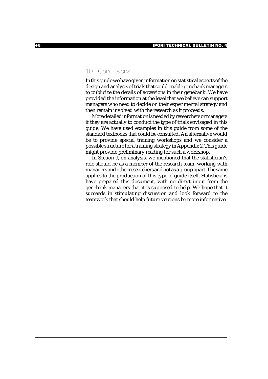## 10 Conclusions

In this guide we have given information on statistical aspects of the design and analysis of trials that could enable genebank managers to publicize the details of accessions in their genebank. We have provided the information at the level that we believe can support managers who need to decide on their experimental strategy and then remain involved with the research as it proceeds.

More detailed information is needed by researchers or managers if they are actually to conduct the type of trials envisaged in this guide. We have used examples in this guide from some of the standard textbooks that could be consulted. An alternative would be to provide special training workshops and we consider a possible structure for a training strategy in Appendix 2. This guide might provide preliminary reading for such a workshop.

In Section 9, on analysis, we mentioned that the statistician's role should be as a member of the research team, working with managers and other researchers and not as a group apart. The same applies to the production of this type of guide itself. Statisticians have prepared this document, with no direct input from the genebank managers that it is supposed to help. We hope that it succeeds in stimulating discussion and look forward to the teamwork that should help future versions be more informative.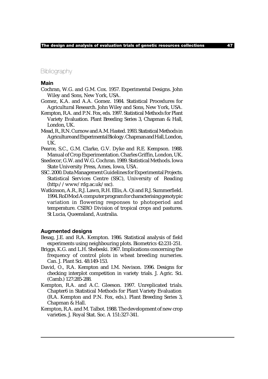## **Bibliography**

#### **Main**

- Cochran, W.G. and G.M. Cox. 1957. Experimental Designs. John Wiley and Sons, New York, USA.
- Gomez, K.A. and A.A. Gomez. 1984. Statistical Procedures for Agricultural Research. John Wiley and Sons, New York, USA.
- Kempton, R.A. and P.N. Fox, eds. 1997. Statistical Methods for Plant Variety Evaluation. Plant Breeding Series 3, Chapman & Hall, London, UK.
- Mead, R., R.N. Curnow and A.M. Hasted. 1993. Statistical Methods in Agriculture and Experimental Biology. Chapman and Hall, London, UK.
- Pearce, S.C., G.M. Clarke, G.V. Dyke and R.E. Kempson. 1988. Manual of Crop Experimentation. Charles Griffin, London, UK.
- Snedecor, G.W. and W.G. Cochran. 1989. Statistical Methods. Iowa State University Press, Ames, Iowa, USA.
- SSC. 2000. Data Management Guidelines for Experimental Projects. Statistical Services Centre (SSC), University of Reading (http://www/rdg.ac.uk/ssc).
- Watkinson, A.R., R.J. Lawn, R.H. Ellis, A. Qi and R.J. Summerfield. 1994. RoDMod A computer program for characterising genotypic variation in flowering responses to photoperiod and temperature. CSIRO Division of tropical crops and pastures. St Lucia, Queensland, Australia.

#### **Augmented designs**

- Besag, J.E. and R.A. Kempton. 1986. Statistical analysis of field experiments using neighbouring plots. Biometrics 42:231-251.
- Briggs, K.G. and L.H. Shebeski. 1967. Implications concerning the frequency of control plots in wheat breeding nurseries. Can. J. Plant Sci. 48:149-153.
- David, O., R.A. Kempton and I.M. Nevison. 1996. Designs for checking interplot competition in variety trials. J. Agric. Sci. (Camb.) 127:285-288.
- Kempton, R.A. and A.C. Gleeson. 1997. Unreplicated trials. Chapter6 in Statistical Methods for Plant Variety Evaluation (R.A. Kempton and P.N. Fox, eds.). Plant Breeding Series 3, Chapman & Hall.
- Kempton, R.A. and M. Talbot. 1988. The development of new crop varieties. J. Royal Stat. Soc. A 151:327-341.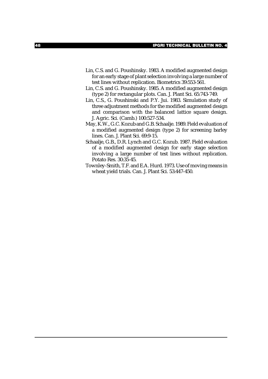- Lin, C.S. and G. Poushinsky. 1983. A modified augmented design for an early stage of plant selection involving a large number of test lines without replication. Biometrics 39:553-561.
- Lin, C.S. and G. Poushinsky. 1985. A modified augmented design (type 2) for rectangular plots. Can. J. Plant Sci. 65:743-749.
- Lin, C.S., G. Poushinski and P.Y. Jui. 1983. Simulation study of three adjustment methods for the modified augmented design and comparison with the balanced lattice square design. J. Agric. Sci. (Camb.) 100:527-534.
- May, K.W., G.C. Kozub and G.B. Schaalje. 1989. Field evaluation of a modified augmented design (type 2) for screening barley lines. Can. J. Plant Sci. 69:9-15.
- Schaalje, G.B., D.R. Lynch and G.C. Kozub. 1987. Field evaluation of a modified augmented design for early stage selection involving a large number of test lines without replication. Potato Res. 30:35-45.
- Townley-Smith, T.F. and E.A. Hurd. 1973. Use of moving means in wheat yield trials. Can. J. Plant Sci. 53:447-450.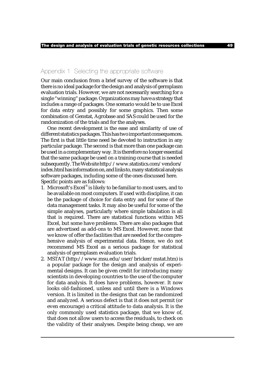## Appendix 1 Selecting the appropriate software

Our main conclusion from a brief survey of the software is that there is no ideal package for the design and analysis of germplasm evaluation trials. However, we are not necessarily searching for a single "winning" package. Organizations may have a strategy that includes a range of packages. One scenario would be to use Excel for data entry and possibly for some graphics. Then some combination of Genstat, Agrobase and SAS could be used for the randomization of the trials and for the analyses.

One recent development is the ease and similarity of use of different statistics packages. This has two important consequences. The first is that little time need be devoted to instruction in any particular package. The second is that more than one package can be used in a complementary way. It is therefore no longer essential that the same package be used on a training course that is needed subsequently. The Web site http://www.statistics.com/vendors/ index.html has information on, and links to, many statistical analysis software packages, including some of the ones discussed here. Specific points are as follows:

- 1. Microsoft's Excel® is likely to be familiar to most users, and to be available on most computers. If used with discipline, it can be the package of choice for data entry and for some of the data management tasks. It may also be useful for some of the simple analyses, particularly where simple tabulation is all that is required. There are statistical functions within MS Excel, but some have problems. There are also packages that are advertised as add-ons to MS Excel. However, none that we know of offer the facilities that are needed for the comprehensive analysis of experimental data. Hence, we do not recommend MS Excel as a serious package for statistical analysis of germplasm evaluation trials.
- 2. MSTAT (http://www.msu.edu/user/bricker/mstat.htm) is a popular package for the design and analysis of experimental designs. It can be given credit for introducing many scientists in developing countries to the use of the computer for data analysis. It does have problems, however. It now looks old-fashioned, unless and until there is a Windows version. It is limited in the designs that can be randomized and analyzed. A serious defect is that it does not permit (or even encourage) a critical attitude to data analysis. It is the only commonly used statistics package, that we know of, that does not allow users to access the residuals, to check on the validity of their analyses. Despite being cheap, we are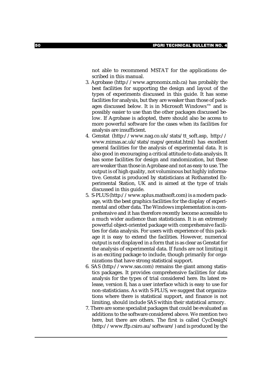not able to recommend MSTAT for the applications described in this manual.

- 3. Agrobase (http://www.agronomix.mb.ca) has probably the best facilities for supporting the design and layout of the types of experiments discussed in this guide. It has some facilities for analysis, but they are weaker than those of packages discussed below. It is in Microsoft Windows™ and is possibly easier to use than the other packages discussed below. If Agrobase is adopted, there should also be access to more powerful software for the cases when its facilities for analysis are insufficient.
- 4. Genstat (http://www.nag.co.uk/stats/tt\_soft.asp, http:// www.mimas.ac.uk/stats/maps/genstat.html) has excellent general facilities for the analysis of experimental data. It is also good in encouraging a critical attitude to data analysis. It has some facilities for design and randomization, but these are weaker than those in Agrobase and not as easy to use. The output is of high quality, not voluminous but highly informative. Genstat is produced by statisticians at Rothamsted Experimental Station, UK and is aimed at the type of trials discussed in this guide.
- 5. S-PLUS (http://www.splus.mathsoft.com) is a modern package, with the best graphics facilities for the display of experimental and other data. The Windows implementation is comprehensive and it has therefore recently become accessible to a much wider audience than statisticians. It is an extremely powerful object-oriented package with comprehensive facilities for data analysis. For users with experience of this package it is easy to extend the facilities. However, numerical output is not displayed in a form that is as clear as Genstat for the analysis of experimental data. If funds are not limiting it is an exciting package to include, though primarily for organizations that have strong statistical support.
- 6. SAS (http://www.sas.com) remains the giant among statistics packages. It provides comprehensive facilities for data analysis for the types of trial considered here. Its latest release, version 8, has a user interface which is easy to use for non-statisticians. As with S-PLUS, we suggest that organizations where there is statistical support, and finance is not limiting, should include SAS within their statistical armory.
- 7. There are some specialist packages that could be evaluated as additions to the software considered above. We mention two here, but there are others. The first is called CycDesigN (http://www.ffp.csiro.au/software/) and is produced by the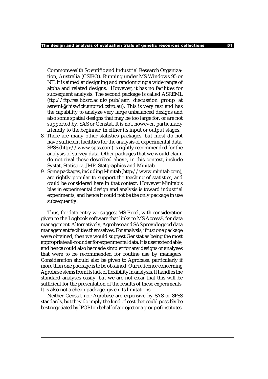Commonwealth Scientific and Industrial Research Organization, Australia (CSIRO). Running under MS Windows 95 or NT, it is aimed at designing and randomizing a wide range of alpha and related designs. However, it has no facilities for subsequent analysis. The second package is called ASREML (ftp://ftp.res.bbsrc.ac.uk/pub/aar; discussion group at asreml@chiswick.anprod.csiro.au). This is very fast and has the capability to analyze very large unbalanced designs and also some spatial designs that may be too large for, or are not supported by, SAS or Genstat. It is not, however, particularly friendly to the beginner, in either its input or output stages.

- 8. There are many other statistics packages, but most do not have sufficient facilities for the analysis of experimental data. SPSS (http://www.spss.com) is rightly recommended for the analysis of survey data. Other packages that we would claim do not rival those described above, in this context, include Systat, Statistica, JMP, Statgraphics and Minitab.
- 9. Some packages, including Minitab (http://www.minitab.com), are rightly popular to support the teaching of statistics, and could be considered here in that context. However Minitab's bias in experimental design and analysis is toward industrial experiments, and hence it could not be the only package in use subsequently.

Thus, for data entry we suggest MS Excel, with consideration given to the Logbook software that links to MS Access®, for data management. Alternatively, Agrobase and SAS provide good data management facilities themselves. For analysis, if just one package were obtained, then we would suggest Genstat as being the most appropriate all-rounder for experimental data. It is user extendable, and hence could also be made simpler for any designs or analyses that were to be recommended for routine use by managers. Consideration should also be given to Agrobase, particularly if more than one package is to be obtained. Our reticence concerning Agrobase stems from its lack of flexibility in analysis. It handles the standard analyses easily, but we are not clear that this will be sufficient for the presentation of the results of these experiments. It is also not a cheap package, given its limitations.

Neither Genstat nor Agrobase are expensive by SAS or SPSS standards, but they do imply the kind of cost that could possibly be best negotiated by IPGRI on behalf of a project or a group of institutes.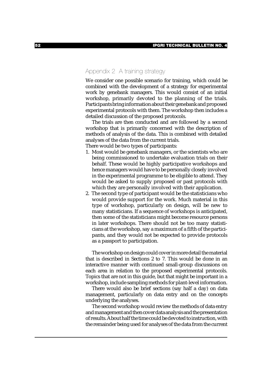## Appendix 2 A training strategy

We consider one possible scenario for training, which could be combined with the development of a strategy for experimental work by genebank managers. This would consist of an initial workshop, primarily devoted to the planning of the trials. Participants bring information about their genebank and proposed experimental protocols with them. The workshop then includes a detailed discussion of the proposed protocols.

The trials are then conducted and are followed by a second workshop that is primarily concerned with the description of methods of analysis of the data. This is combined with detailed analyses of the data from the current trials.

There would be two types of participants:

- 1. Most would be genebank managers, or the scientists who are being commissioned to undertake evaluation trials on their behalf. These would be highly participative workshops and hence managers would have to be personally closely involved in the experimental programme to be eligible to attend. They would be asked to supply proposed or past protocols with which they are personally involved with their application.
- 2. The second type of participant would be the statisticians who would provide support for the work. Much material in this type of workshop, particularly on design, will be new to many statisticians. If a sequence of workshops is anticipated, then some of the statisticians might become resource persons in later workshops. There should not be too many statisticians at the workshop, say a maximum of a fifth of the participants, and they would not be expected to provide protocols as a passport to participation.

The workshop on design could cover in more detail the material that is described in Sections 2 to 7. This would be done in an interactive manner with continued small-group discussions on each area in relation to the proposed experimental protocols. Topics that are not in this guide, but that might be important in a workshop, include sampling methods for plant-level information.

There would also be brief sections (say half a day) on data management, particularly on data entry and on the concepts underlying the analyses.

The second workshop would review the methods of data entry and management and then cover data analysis and the presentation of results. About half the time could be devoted to instruction, with the remainder being used for analyses of the data from the current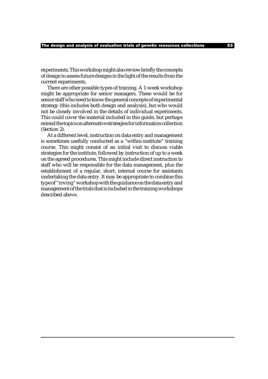experiments. This workshop might also review briefly the concepts of design to assess future designs in the light of the results from the current experiments.

There are other possible types of training. A 1-week workshop might be appropriate for senior managers. These would be for senior staff who need to know the general concepts of experimental strategy (this includes both design and analysis), but who would not be closely involved in the details of individual experiments. This could cover the material included in this guide, but perhaps extend the topics on alternative strategies for information collection (Section 2).

At a different level, instruction on data entry and management is sometimes usefully conducted as a "within-institute" training course. This might consist of an initial visit to discuss viable strategies for the institute, followed by instruction of up to a week on the agreed procedures. This might include direct instruction to staff who will be responsible for the data management, plus the establishment of a regular, short, internal course for assistants undertaking the data entry. It may be appropriate to combine this type of "roving" workshop with the guidance on the data entry and management of the trials that is included in the training workshops described above.